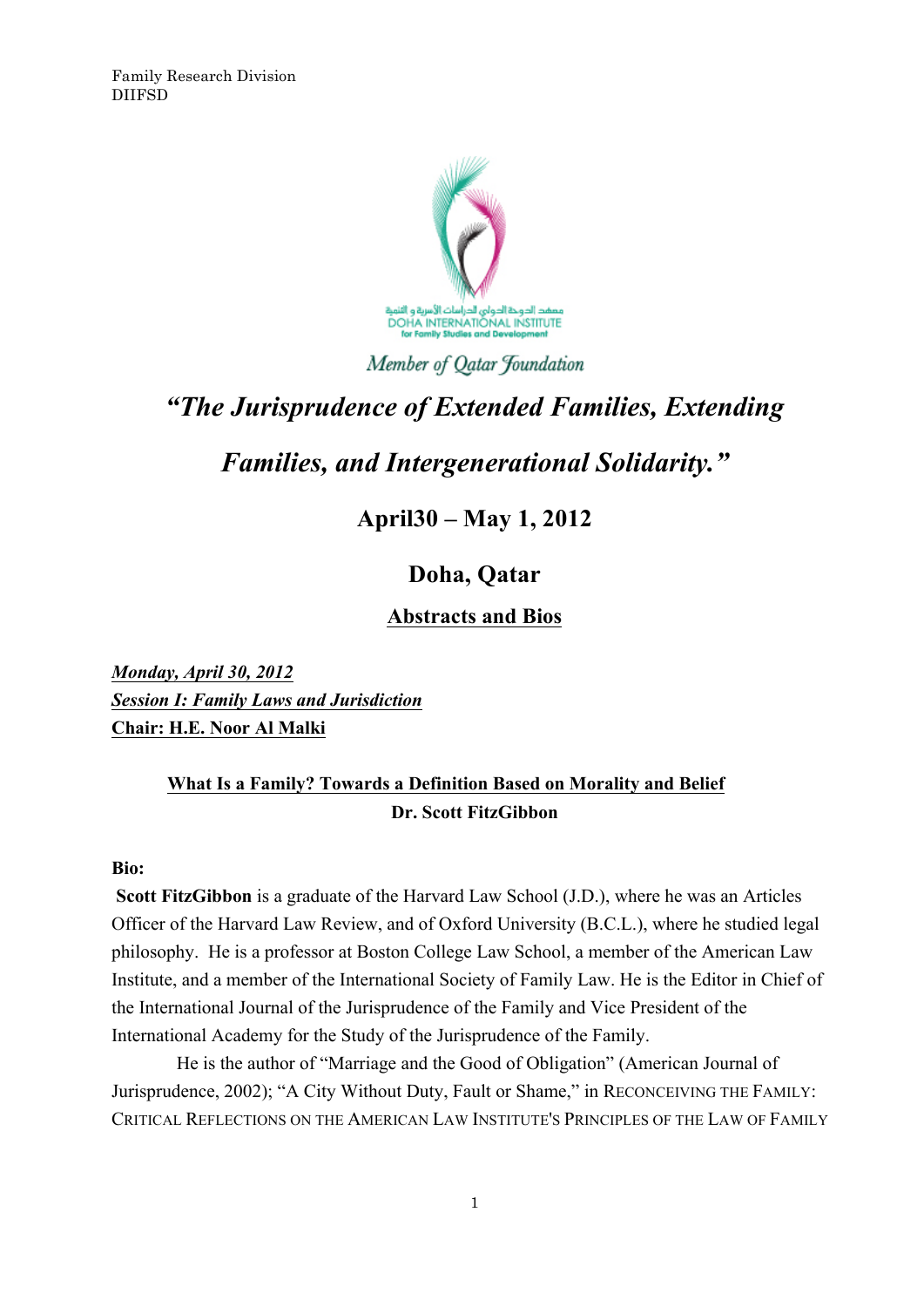

### Member of Oatar Foundation

# *"The Jurisprudence of Extended Families, Extending*

# *Families, and Intergenerational Solidarity."*

### **April30 – May 1, 2012**

## **Doha, Qatar**

### **Abstracts and Bios**

*Monday, April 30, 2012 Session I: Family Laws and Jurisdiction* **Chair: H.E. Noor Al Malki**

### **What Is a Family? Towards a Definition Based on Morality and Belief Dr. Scott FitzGibbon**

#### **Bio:**

**Scott FitzGibbon** is a graduate of the Harvard Law School (J.D.), where he was an Articles Officer of the Harvard Law Review, and of Oxford University (B.C.L.), where he studied legal philosophy. He is a professor at Boston College Law School, a member of the American Law Institute, and a member of the International Society of Family Law. He is the Editor in Chief of the International Journal of the Jurisprudence of the Family and Vice President of the International Academy for the Study of the Jurisprudence of the Family.

He is the author of "Marriage and the Good of Obligation" (American Journal of Jurisprudence, 2002); "A City Without Duty, Fault or Shame," in RECONCEIVING THE FAMILY: CRITICAL REFLECTIONS ON THE AMERICAN LAW INSTITUTE'S PRINCIPLES OF THE LAW OF FAMILY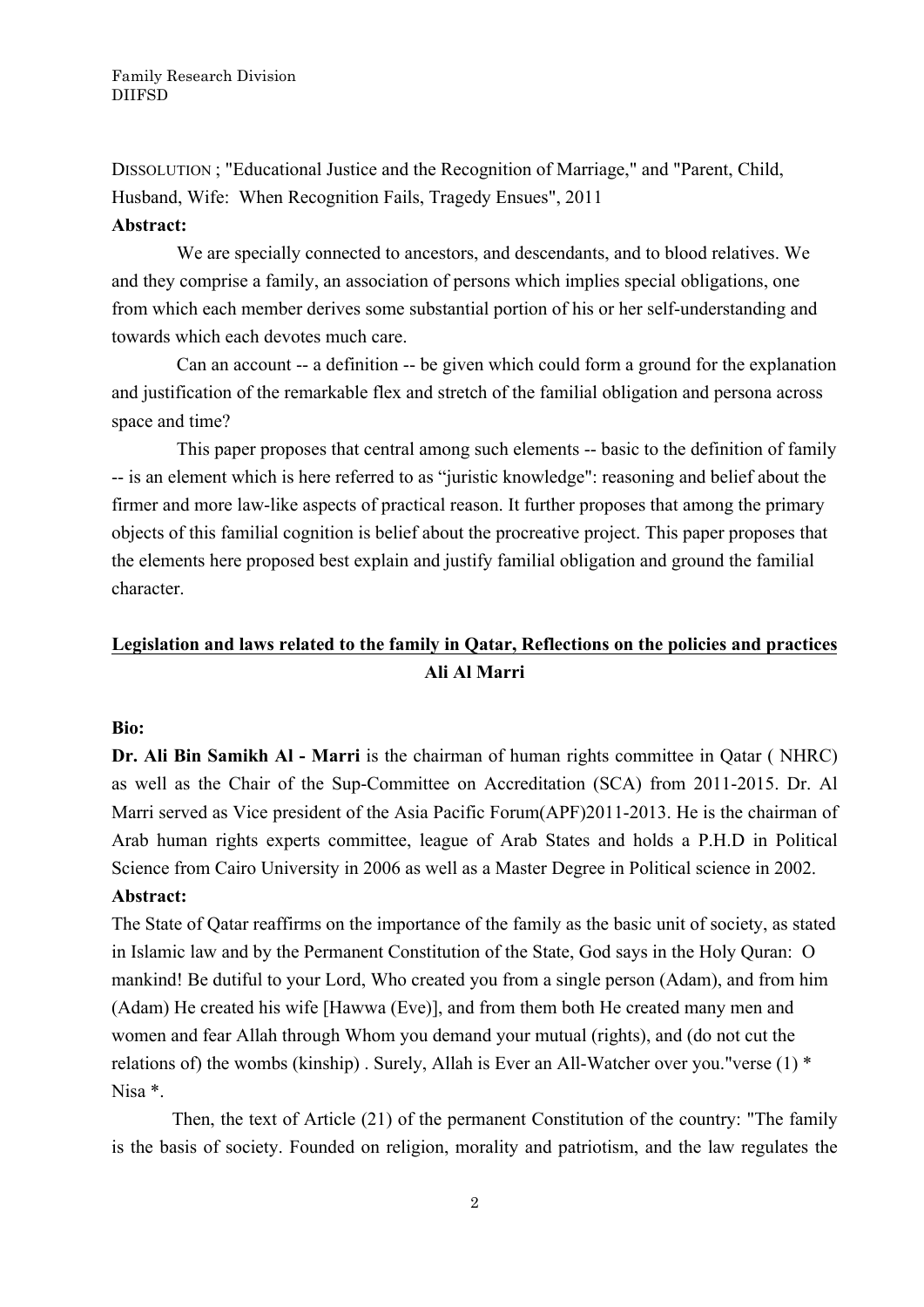DISSOLUTION ; "Educational Justice and the Recognition of Marriage," and "Parent, Child, Husband, Wife: When Recognition Fails, Tragedy Ensues", 2011

#### **Abstract:**

We are specially connected to ancestors, and descendants, and to blood relatives. We and they comprise a family, an association of persons which implies special obligations, one from which each member derives some substantial portion of his or her self-understanding and towards which each devotes much care.

Can an account -- a definition -- be given which could form a ground for the explanation and justification of the remarkable flex and stretch of the familial obligation and persona across space and time?

This paper proposes that central among such elements -- basic to the definition of family -- is an element which is here referred to as "juristic knowledge": reasoning and belief about the firmer and more law-like aspects of practical reason. It further proposes that among the primary objects of this familial cognition is belief about the procreative project. This paper proposes that the elements here proposed best explain and justify familial obligation and ground the familial character.

### **Legislation and laws related to the family in Qatar, Reflections on the policies and practices Ali Al Marri**

#### **Bio:**

**Dr. Ali Bin Samikh Al - Marri** is the chairman of human rights committee in Qatar ( NHRC) as well as the Chair of the Sup-Committee on Accreditation (SCA) from 2011-2015. Dr. Al Marri served as Vice president of the Asia Pacific Forum(APF)2011-2013. He is the chairman of Arab human rights experts committee, league of Arab States and holds a P.H.D in Political Science from Cairo University in 2006 as well as a Master Degree in Political science in 2002. **Abstract:**

The State of Qatar reaffirms on the importance of the family as the basic unit of society, as stated in Islamic law and by the Permanent Constitution of the State, God says in the Holy Quran: O mankind! Be dutiful to your Lord, Who created you from a single person (Adam), and from him (Adam) He created his wife [Hawwa (Eve)], and from them both He created many men and women and fear Allah through Whom you demand your mutual (rights), and (do not cut the relations of) the wombs (kinship) . Surely, Allah is Ever an All-Watcher over you."verse (1) \* Nisa \*.

Then, the text of Article (21) of the permanent Constitution of the country: "The family is the basis of society. Founded on religion, morality and patriotism, and the law regulates the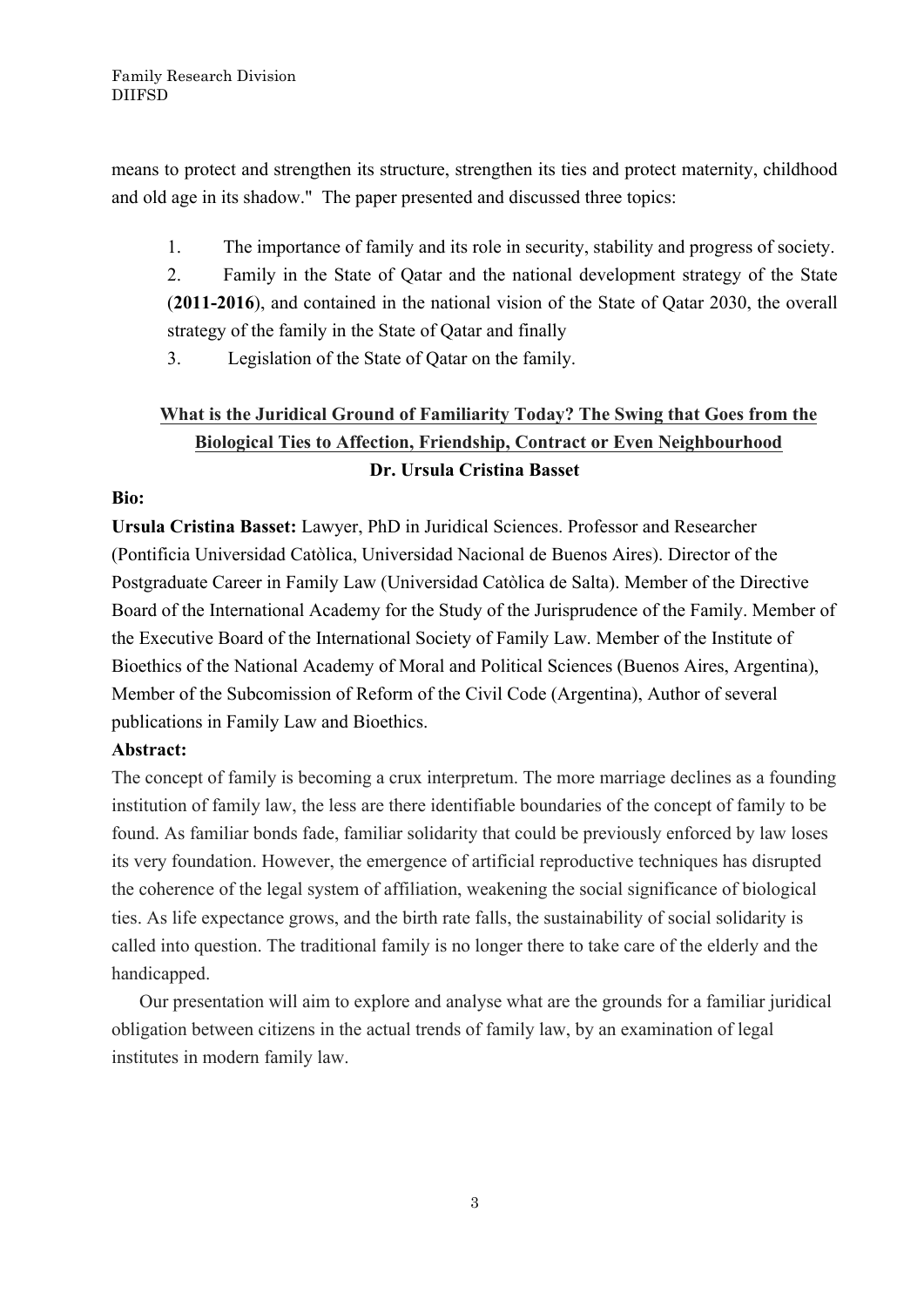means to protect and strengthen its structure, strengthen its ties and protect maternity, childhood and old age in its shadow." The paper presented and discussed three topics:

1. The importance of family and its role in security, stability and progress of society.

2. Family in the State of Qatar and the national development strategy of the State (**2011-2016**), and contained in the national vision of the State of Qatar 2030, the overall strategy of the family in the State of Qatar and finally

3. Legislation of the State of Qatar on the family.

### **What is the Juridical Ground of Familiarity Today? The Swing that Goes from the Biological Ties to Affection, Friendship, Contract or Even Neighbourhood Dr. Ursula Cristina Basset**

### **Bio:**

**Ursula Cristina Basset:** Lawyer, PhD in Juridical Sciences. Professor and Researcher (Pontificia Universidad Catòlica, Universidad Nacional de Buenos Aires). Director of the Postgraduate Career in Family Law (Universidad Catòlica de Salta). Member of the Directive Board of the International Academy for the Study of the Jurisprudence of the Family. Member of the Executive Board of the International Society of Family Law. Member of the Institute of Bioethics of the National Academy of Moral and Political Sciences (Buenos Aires, Argentina), Member of the Subcomission of Reform of the Civil Code (Argentina), Author of several publications in Family Law and Bioethics.

### **Abstract:**

The concept of family is becoming a crux interpretum. The more marriage declines as a founding institution of family law, the less are there identifiable boundaries of the concept of family to be found. As familiar bonds fade, familiar solidarity that could be previously enforced by law loses its very foundation. However, the emergence of artificial reproductive techniques has disrupted the coherence of the legal system of affiliation, weakening the social significance of biological ties. As life expectance grows, and the birth rate falls, the sustainability of social solidarity is called into question. The traditional family is no longer there to take care of the elderly and the handicapped.

Our presentation will aim to explore and analyse what are the grounds for a familiar juridical obligation between citizens in the actual trends of family law, by an examination of legal institutes in modern family law.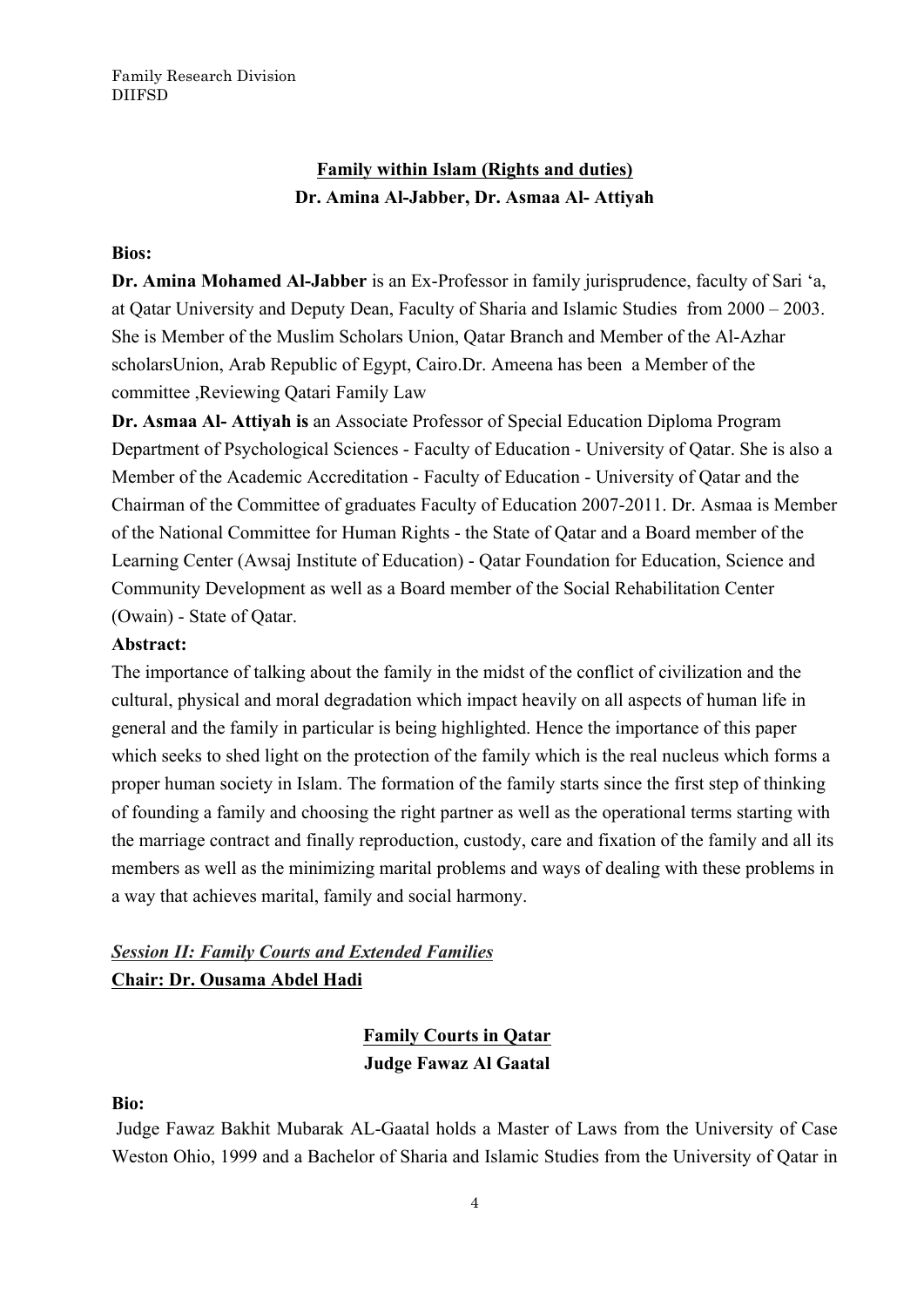### **Family within Islam (Rights and duties) Dr. Amina Al-Jabber, Dr. Asmaa Al- Attiyah**

#### **Bios:**

**Dr. Amina Mohamed Al-Jabber** is an Ex-Professor in family jurisprudence, faculty of Sari 'a, at Qatar University and Deputy Dean, Faculty of Sharia and Islamic Studies from 2000 – 2003. She is Member of the Muslim Scholars Union, Qatar Branch and Member of the Al-Azhar scholarsUnion, Arab Republic of Egypt, Cairo.Dr. Ameena has been a Member of the committee ,Reviewing Qatari Family Law

**Dr. Asmaa Al- Attiyah is** an Associate Professor of Special Education Diploma Program Department of Psychological Sciences - Faculty of Education - University of Qatar. She is also a Member of the Academic Accreditation - Faculty of Education - University of Qatar and the Chairman of the Committee of graduates Faculty of Education 2007-2011. Dr. Asmaa is Member of the National Committee for Human Rights - the State of Qatar and a Board member of the Learning Center (Awsaj Institute of Education) - Qatar Foundation for Education, Science and Community Development as well as a Board member of the Social Rehabilitation Center (Owain) - State of Qatar.

#### **Abstract:**

The importance of talking about the family in the midst of the conflict of civilization and the cultural, physical and moral degradation which impact heavily on all aspects of human life in general and the family in particular is being highlighted. Hence the importance of this paper which seeks to shed light on the protection of the family which is the real nucleus which forms a proper human society in Islam. The formation of the family starts since the first step of thinking of founding a family and choosing the right partner as well as the operational terms starting with the marriage contract and finally reproduction, custody, care and fixation of the family and all its members as well as the minimizing marital problems and ways of dealing with these problems in a way that achieves marital, family and social harmony.

### *Session II: Family Courts and Extended Families* **Chair: Dr. Ousama Abdel Hadi**

### **Family Courts in Qatar Judge Fawaz Al Gaatal**

#### **Bio:**

Judge Fawaz Bakhit Mubarak AL-Gaatal holds a Master of Laws from the University of Case Weston Ohio, 1999 and a Bachelor of Sharia and Islamic Studies from the University of Qatar in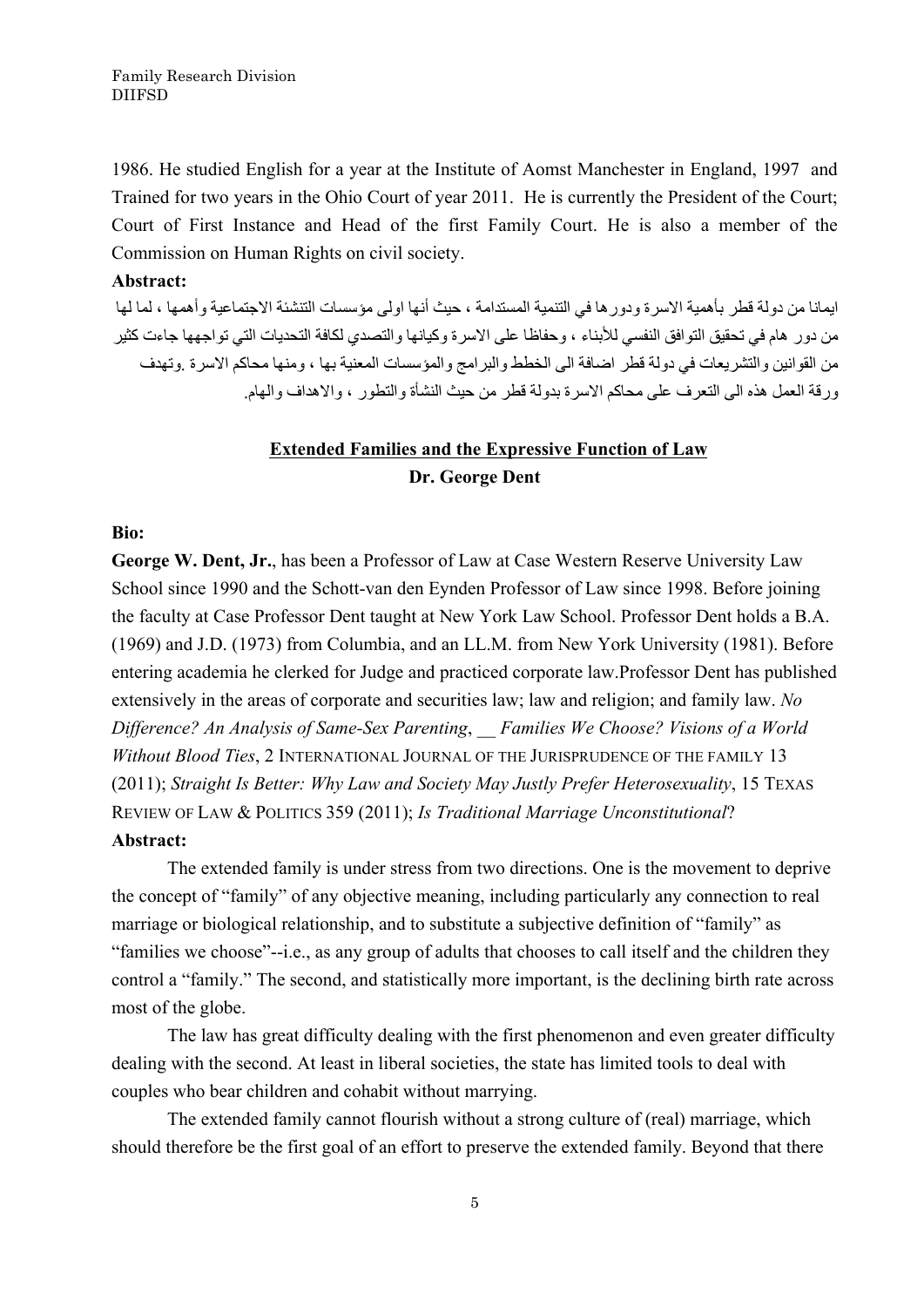1986. He studied English for a year at the Institute of Aomst Manchester in England, 1997 and Trained for two years in the Ohio Court of year 2011. He is currently the President of the Court; Court of First Instance and Head of the first Family Court. He is also a member of the Commission on Human Rights on civil society.

#### **Abstract:**

ایمانا من دولة قطر بأھمیة الاسرة ودورھا في التنمیة المستدامة ، حیث أنھا اولى مؤسسات التنشئة الاجتماعیة وأھمھا ، لما لھا من دور ھام في تحقیق التوافق النفسي للأبناء ، وحفاظا على الاسرة وكیانھا والتصدي لكافة التحدیات التي تواجھھا جاءت كثیر من القوانین والتشریعات في دولة قطر اضافة الى الخطط والبرامج والمؤسسات المعنیة بھا ، ومنھا محاكم الاسرة .وتھدف ورقة العمل ھذه الى التعرف على محاكم الاسرة بدولة قطر من حیث النشأة والتطور ، والاھداف والھام.

### **Extended Families and the Expressive Function of Law Dr. George Dent**

#### **Bio:**

**George W. Dent, Jr.**, has been a Professor of Law at Case Western Reserve University Law School since 1990 and the Schott-van den Eynden Professor of Law since 1998. Before joining the faculty at Case Professor Dent taught at New York Law School. Professor Dent holds a B.A. (1969) and J.D. (1973) from Columbia, and an LL.M. from New York University (1981). Before entering academia he clerked for Judge and practiced corporate law.Professor Dent has published extensively in the areas of corporate and securities law; law and religion; and family law. *No Difference? An Analysis of Same-Sex Parenting*, \_\_ *Families We Choose? Visions of a World Without Blood Ties*, 2 INTERNATIONAL JOURNAL OF THE JURISPRUDENCE OF THE FAMILY 13 (2011); *Straight Is Better: Why Law and Society May Justly Prefer Heterosexuality*, 15 TEXAS REVIEW OF LAW & POLITICS 359 (2011); *Is Traditional Marriage Unconstitutional*? **Abstract:**

The extended family is under stress from two directions. One is the movement to deprive the concept of "family" of any objective meaning, including particularly any connection to real marriage or biological relationship, and to substitute a subjective definition of "family" as "families we choose"--i.e., as any group of adults that chooses to call itself and the children they control a "family." The second, and statistically more important, is the declining birth rate across most of the globe.

The law has great difficulty dealing with the first phenomenon and even greater difficulty dealing with the second. At least in liberal societies, the state has limited tools to deal with couples who bear children and cohabit without marrying.

The extended family cannot flourish without a strong culture of (real) marriage, which should therefore be the first goal of an effort to preserve the extended family. Beyond that there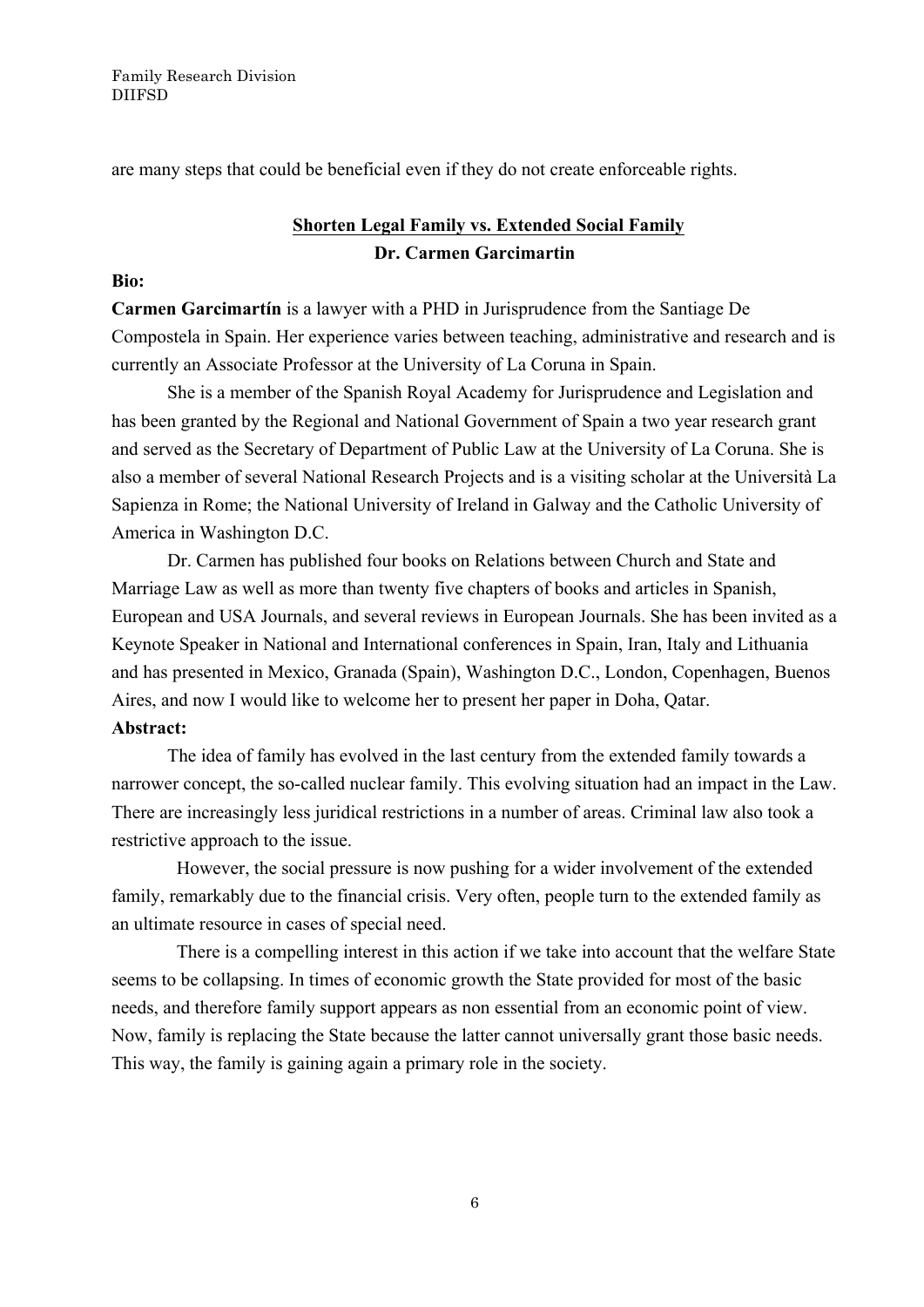are many steps that could be beneficial even if they do not create enforceable rights.

### **Shorten Legal Family vs. Extended Social Family Dr. Carmen Garcimartin**

#### **Bio:**

**Carmen Garcimartín** is a lawyer with a PHD in Jurisprudence from the Santiage De Compostela in Spain. Her experience varies between teaching, administrative and research and is currently an Associate Professor at the University of La Coruna in Spain.

She is a member of the Spanish Royal Academy for Jurisprudence and Legislation and has been granted by the Regional and National Government of Spain a two year research grant and served as the Secretary of Department of Public Law at the University of La Coruna. She is also a member of several National Research Projects and is a visiting scholar at the Università La Sapienza in Rome; the National University of Ireland in Galway and the Catholic University of America in Washington D.C.

Dr. Carmen has published four books on Relations between Church and State and Marriage Law as well as more than twenty five chapters of books and articles in Spanish, European and USA Journals, and several reviews in European Journals. She has been invited as a Keynote Speaker in National and International conferences in Spain, Iran, Italy and Lithuania and has presented in Mexico, Granada (Spain), Washington D.C., London, Copenhagen, Buenos Aires, and now I would like to welcome her to present her paper in Doha, Qatar. **Abstract:** 

The idea of family has evolved in the last century from the extended family towards a narrower concept, the so-called nuclear family. This evolving situation had an impact in the Law. There are increasingly less juridical restrictions in a number of areas. Criminal law also took a restrictive approach to the issue.

However, the social pressure is now pushing for a wider involvement of the extended family, remarkably due to the financial crisis. Very often, people turn to the extended family as an ultimate resource in cases of special need.

There is a compelling interest in this action if we take into account that the welfare State seems to be collapsing. In times of economic growth the State provided for most of the basic needs, and therefore family support appears as non essential from an economic point of view. Now, family is replacing the State because the latter cannot universally grant those basic needs. This way, the family is gaining again a primary role in the society.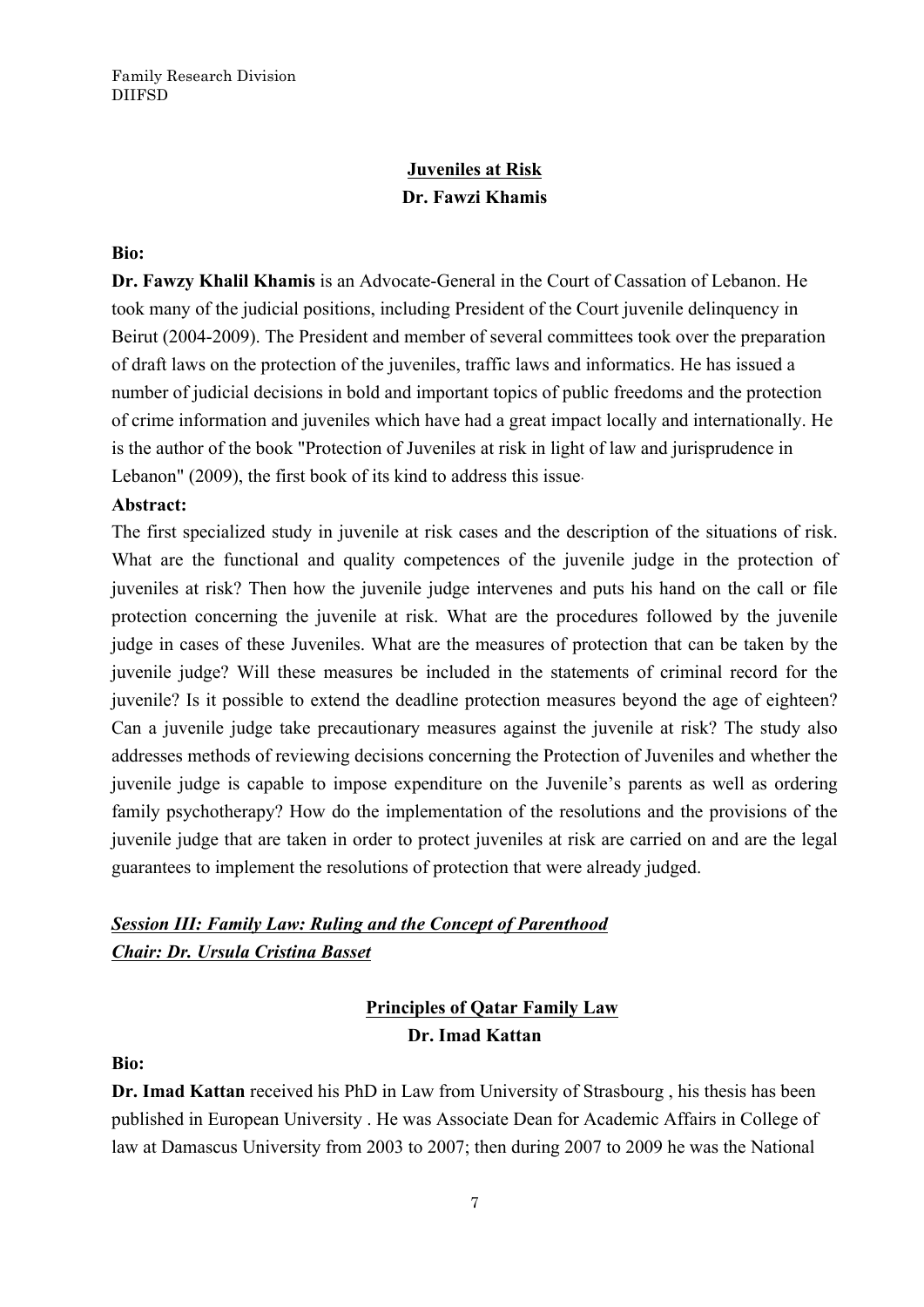## **Juveniles at Risk Dr. Fawzi Khamis**

#### **Bio:**

**Dr. Fawzy Khalil Khamis** is an Advocate-General in the Court of Cassation of Lebanon. He took many of the judicial positions, including President of the Court juvenile delinquency in Beirut (2004-2009). The President and member of several committees took over the preparation of draft laws on the protection of the juveniles, traffic laws and informatics. He has issued a number of judicial decisions in bold and important topics of public freedoms and the protection of crime information and juveniles which have had a great impact locally and internationally. He is the author of the book "Protection of Juveniles at risk in light of law and jurisprudence in Lebanon" (2009), the first book of its kind to address this issue.

#### **Abstract:**

The first specialized study in juvenile at risk cases and the description of the situations of risk. What are the functional and quality competences of the juvenile judge in the protection of juveniles at risk? Then how the juvenile judge intervenes and puts his hand on the call or file protection concerning the juvenile at risk. What are the procedures followed by the juvenile judge in cases of these Juveniles. What are the measures of protection that can be taken by the juvenile judge? Will these measures be included in the statements of criminal record for the juvenile? Is it possible to extend the deadline protection measures beyond the age of eighteen? Can a juvenile judge take precautionary measures against the juvenile at risk? The study also addresses methods of reviewing decisions concerning the Protection of Juveniles and whether the juvenile judge is capable to impose expenditure on the Juvenile's parents as well as ordering family psychotherapy? How do the implementation of the resolutions and the provisions of the juvenile judge that are taken in order to protect juveniles at risk are carried on and are the legal guarantees to implement the resolutions of protection that were already judged.

### *Session III: Family Law: Ruling and the Concept of Parenthood Chair: Dr. Ursula Cristina Basset*

### **Principles of Qatar Family Law Dr. Imad Kattan**

#### **Bio:**

**Dr. Imad Kattan** received his PhD in Law from University of Strasbourg , his thesis has been published in European University . He was Associate Dean for Academic Affairs in College of law at Damascus University from 2003 to 2007; then during 2007 to 2009 he was the National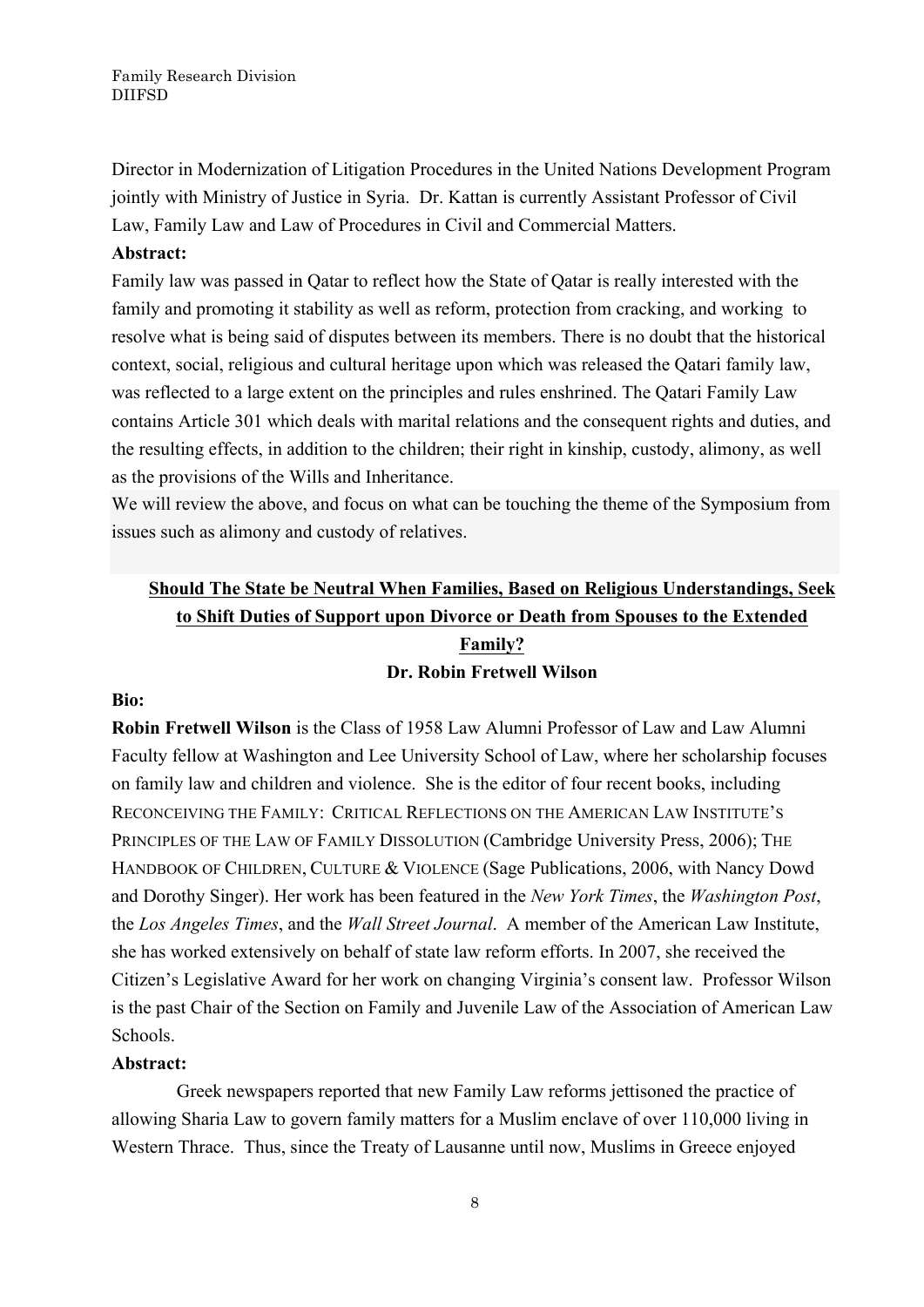Director in Modernization of Litigation Procedures in the United Nations Development Program jointly with Ministry of Justice in Syria. Dr. Kattan is currently Assistant Professor of Civil Law, Family Law and Law of Procedures in Civil and Commercial Matters.

#### **Abstract:**

Family law was passed in Qatar to reflect how the State of Qatar is really interested with the family and promoting it stability as well as reform, protection from cracking, and working to resolve what is being said of disputes between its members. There is no doubt that the historical context, social, religious and cultural heritage upon which was released the Qatari family law, was reflected to a large extent on the principles and rules enshrined. The Qatari Family Law contains Article 301 which deals with marital relations and the consequent rights and duties, and the resulting effects, in addition to the children; their right in kinship, custody, alimony, as well as the provisions of the Wills and Inheritance.

We will review the above, and focus on what can be touching the theme of the Symposium from issues such as alimony and custody of relatives.

### **Should The State be Neutral When Families, Based on Religious Understandings, Seek to Shift Duties of Support upon Divorce or Death from Spouses to the Extended Family? Dr. Robin Fretwell Wilson**

#### **Bio:**

**Robin Fretwell Wilson** is the Class of 1958 Law Alumni Professor of Law and Law Alumni Faculty fellow at Washington and Lee University School of Law, where her scholarship focuses on family law and children and violence. She is the editor of four recent books, including RECONCEIVING THE FAMILY: CRITICAL REFLECTIONS ON THE AMERICAN LAW INSTITUTE'S PRINCIPLES OF THE LAW OF FAMILY DISSOLUTION (Cambridge University Press, 2006); THE HANDBOOK OF CHILDREN, CULTURE & VIOLENCE (Sage Publications, 2006, with Nancy Dowd and Dorothy Singer). Her work has been featured in the *New York Times*, the *Washington Post*, the *Los Angeles Times*, and the *Wall Street Journal*. A member of the American Law Institute, she has worked extensively on behalf of state law reform efforts. In 2007, she received the Citizen's Legislative Award for her work on changing Virginia's consent law. Professor Wilson is the past Chair of the Section on Family and Juvenile Law of the Association of American Law Schools.

#### **Abstract:**

Greek newspapers reported that new Family Law reforms jettisoned the practice of allowing Sharia Law to govern family matters for a Muslim enclave of over 110,000 living in Western Thrace. Thus, since the Treaty of Lausanne until now, Muslims in Greece enjoyed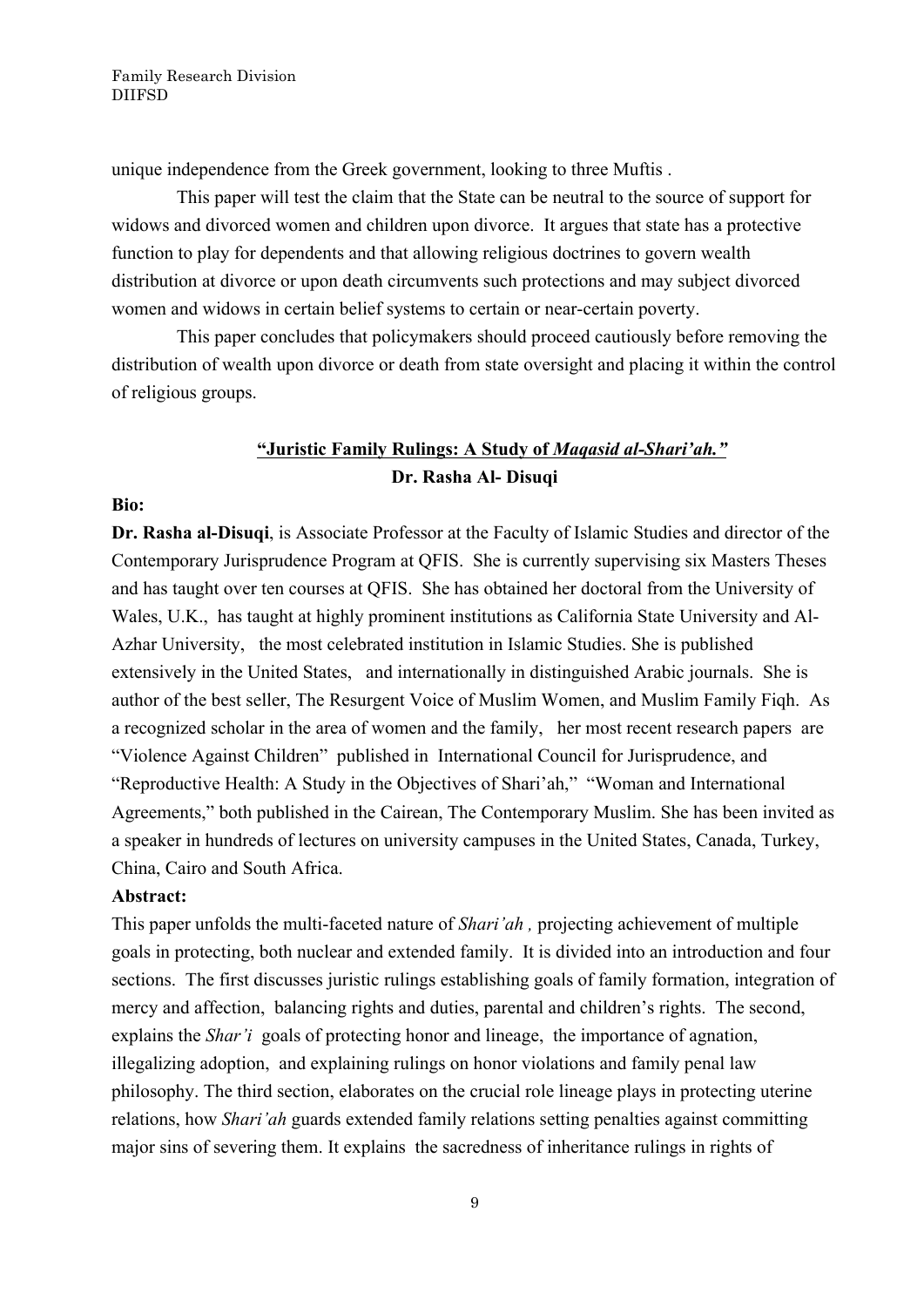unique independence from the Greek government, looking to three Muftis .

This paper will test the claim that the State can be neutral to the source of support for widows and divorced women and children upon divorce. It argues that state has a protective function to play for dependents and that allowing religious doctrines to govern wealth distribution at divorce or upon death circumvents such protections and may subject divorced women and widows in certain belief systems to certain or near-certain poverty.

This paper concludes that policymakers should proceed cautiously before removing the distribution of wealth upon divorce or death from state oversight and placing it within the control of religious groups.

### **"Juristic Family Rulings: A Study of** *Maqasid al-Shari'ah."* **Dr. Rasha Al- Disuqi**

#### **Bio:**

**Dr. Rasha al-Disuqi**, is Associate Professor at the Faculty of Islamic Studies and director of the Contemporary Jurisprudence Program at QFIS. She is currently supervising six Masters Theses and has taught over ten courses at QFIS. She has obtained her doctoral from the University of Wales, U.K., has taught at highly prominent institutions as California State University and Al-Azhar University, the most celebrated institution in Islamic Studies. She is published extensively in the United States, and internationally in distinguished Arabic journals. She is author of the best seller, The Resurgent Voice of Muslim Women, and Muslim Family Fiqh. As a recognized scholar in the area of women and the family, her most recent research papers are "Violence Against Children" published in International Council for Jurisprudence, and "Reproductive Health: A Study in the Objectives of Shari'ah," "Woman and International Agreements," both published in the Cairean, The Contemporary Muslim. She has been invited as a speaker in hundreds of lectures on university campuses in the United States, Canada, Turkey, China, Cairo and South Africa.

#### **Abstract:**

This paper unfolds the multi-faceted nature of *Shari'ah ,* projecting achievement of multiple goals in protecting, both nuclear and extended family. It is divided into an introduction and four sections. The first discusses juristic rulings establishing goals of family formation, integration of mercy and affection, balancing rights and duties, parental and children's rights. The second, explains the *Shar'i* goals of protecting honor and lineage, the importance of agnation, illegalizing adoption, and explaining rulings on honor violations and family penal law philosophy. The third section, elaborates on the crucial role lineage plays in protecting uterine relations, how *Shari'ah* guards extended family relations setting penalties against committing major sins of severing them. It explains the sacredness of inheritance rulings in rights of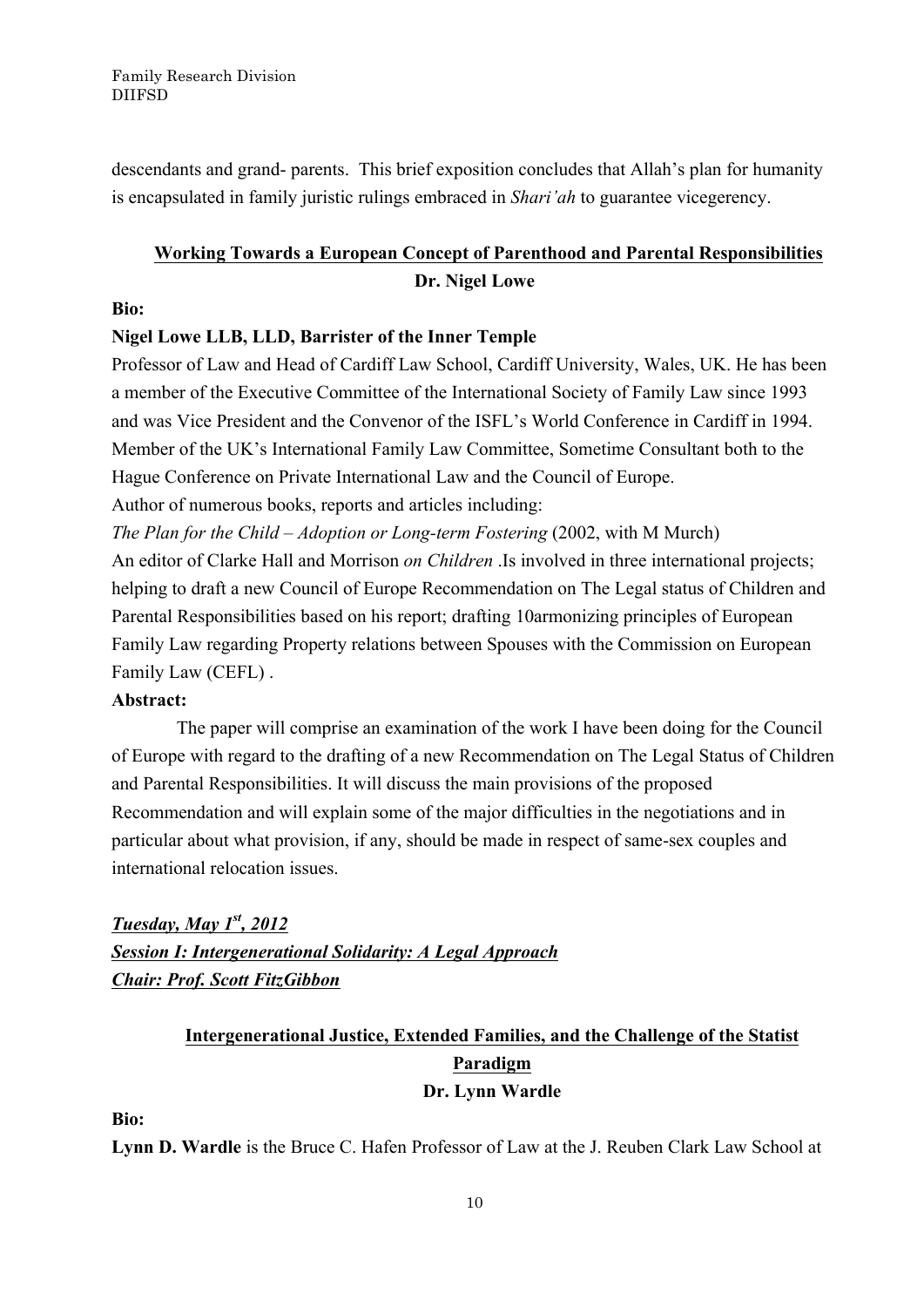descendants and grand- parents. This brief exposition concludes that Allah's plan for humanity is encapsulated in family juristic rulings embraced in *Shari'ah* to guarantee vicegerency.

### **Working Towards a European Concept of Parenthood and Parental Responsibilities Dr. Nigel Lowe**

#### **Bio:**

#### **Nigel Lowe LLB, LLD, Barrister of the Inner Temple**

Professor of Law and Head of Cardiff Law School, Cardiff University, Wales, UK. He has been a member of the Executive Committee of the International Society of Family Law since 1993 and was Vice President and the Convenor of the ISFL's World Conference in Cardiff in 1994. Member of the UK's International Family Law Committee, Sometime Consultant both to the Hague Conference on Private International Law and the Council of Europe. Author of numerous books, reports and articles including:

*The Plan for the Child – Adoption or Long-term Fostering* (2002, with M Murch) An editor of Clarke Hall and Morrison *on Children* .Is involved in three international projects; helping to draft a new Council of Europe Recommendation on The Legal status of Children and Parental Responsibilities based on his report; drafting 10armonizing principles of European Family Law regarding Property relations between Spouses with the Commission on European Family Law (CEFL) .

#### **Abstract:**

The paper will comprise an examination of the work I have been doing for the Council of Europe with regard to the drafting of a new Recommendation on The Legal Status of Children and Parental Responsibilities. It will discuss the main provisions of the proposed Recommendation and will explain some of the major difficulties in the negotiations and in particular about what provision, if any, should be made in respect of same-sex couples and international relocation issues.

*Tuesday, May 1st, 2012 Session I: Intergenerational Solidarity: A Legal Approach Chair: Prof. Scott FitzGibbon*

## **Intergenerational Justice, Extended Families, and the Challenge of the Statist Paradigm Dr. Lynn Wardle**

**Bio:** 

**Lynn D. Wardle** is the Bruce C. Hafen Professor of Law at the J. Reuben Clark Law School at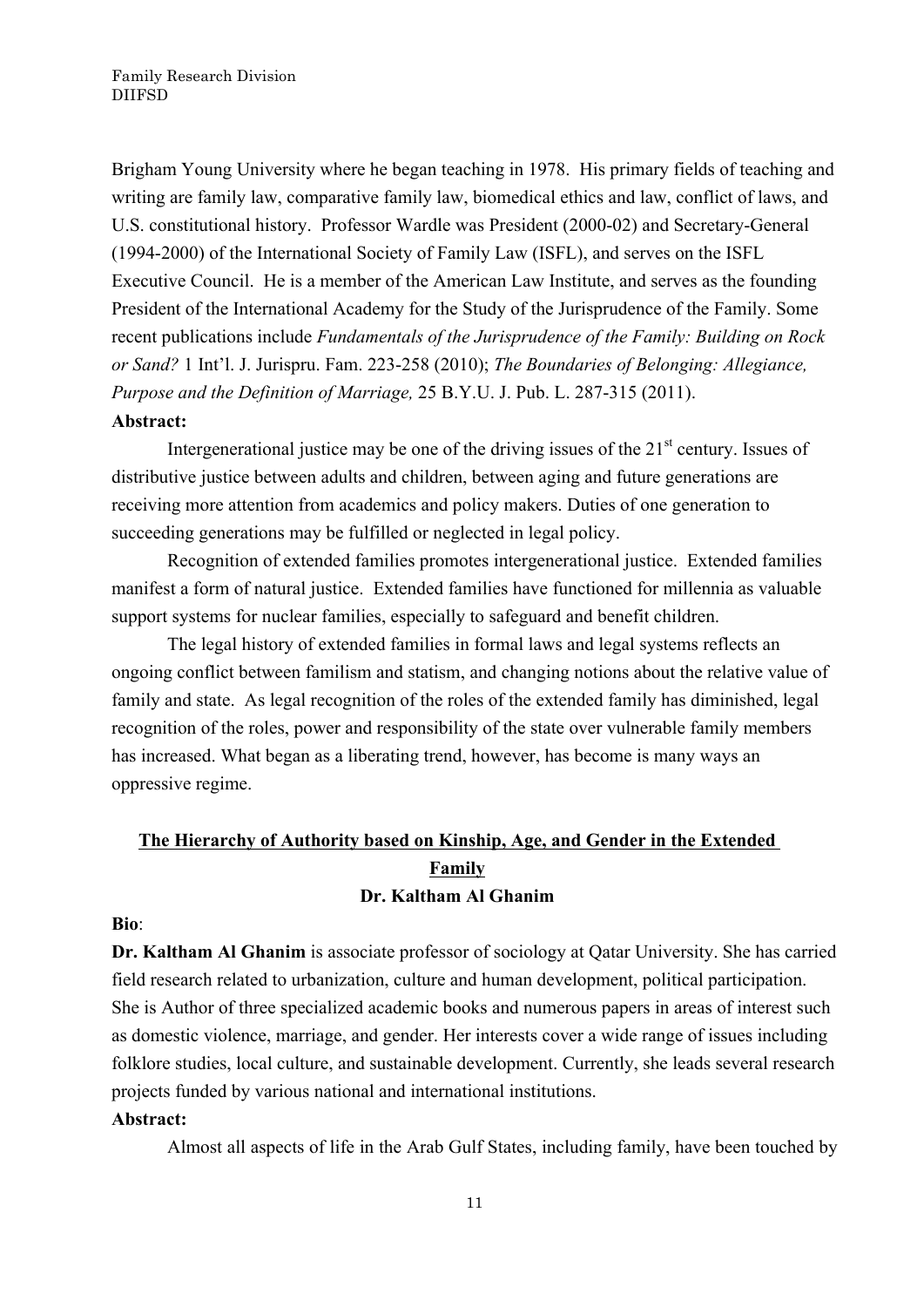Brigham Young University where he began teaching in 1978. His primary fields of teaching and writing are family law, comparative family law, biomedical ethics and law, conflict of laws, and U.S. constitutional history. Professor Wardle was President (2000-02) and Secretary-General (1994-2000) of the International Society of Family Law (ISFL), and serves on the ISFL Executive Council. He is a member of the American Law Institute, and serves as the founding President of the International Academy for the Study of the Jurisprudence of the Family. Some recent publications include *Fundamentals of the Jurisprudence of the Family: Building on Rock or Sand?* 1 Int'l. J. Jurispru. Fam. 223-258 (2010); *The Boundaries of Belonging: Allegiance, Purpose and the Definition of Marriage,* 25 B.Y.U. J. Pub. L. 287-315 (2011). **Abstract:**

Intergenerational justice may be one of the driving issues of the  $21<sup>st</sup>$  century. Issues of distributive justice between adults and children, between aging and future generations are receiving more attention from academics and policy makers. Duties of one generation to succeeding generations may be fulfilled or neglected in legal policy.

Recognition of extended families promotes intergenerational justice. Extended families manifest a form of natural justice. Extended families have functioned for millennia as valuable support systems for nuclear families, especially to safeguard and benefit children.

The legal history of extended families in formal laws and legal systems reflects an ongoing conflict between familism and statism, and changing notions about the relative value of family and state. As legal recognition of the roles of the extended family has diminished, legal recognition of the roles, power and responsibility of the state over vulnerable family members has increased. What began as a liberating trend, however, has become is many ways an oppressive regime.

### **The Hierarchy of Authority based on Kinship, Age, and Gender in the Extended Family Dr. Kaltham Al Ghanim**

### **Bio**:

**Dr. Kaltham Al Ghanim** is associate professor of sociology at Qatar University. She has carried field research related to urbanization, culture and human development, political participation. She is Author of three specialized academic books and numerous papers in areas of interest such as domestic violence, marriage, and gender. Her interests cover a wide range of issues including folklore studies, local culture, and sustainable development. Currently, she leads several research projects funded by various national and international institutions.

#### **Abstract:**

Almost all aspects of life in the Arab Gulf States, including family, have been touched by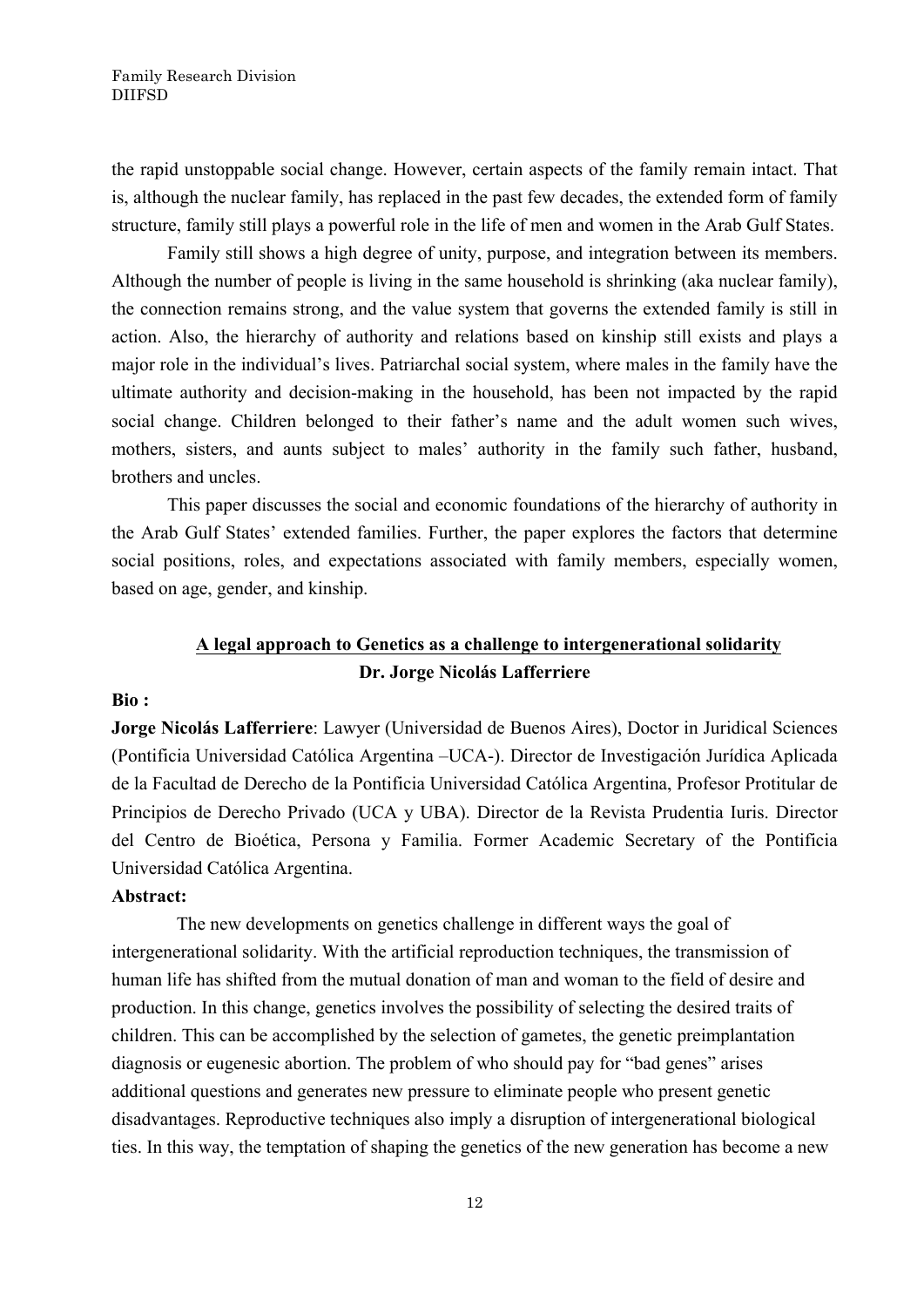the rapid unstoppable social change. However, certain aspects of the family remain intact. That is, although the nuclear family, has replaced in the past few decades, the extended form of family structure, family still plays a powerful role in the life of men and women in the Arab Gulf States.

Family still shows a high degree of unity, purpose, and integration between its members. Although the number of people is living in the same household is shrinking (aka nuclear family), the connection remains strong, and the value system that governs the extended family is still in action. Also, the hierarchy of authority and relations based on kinship still exists and plays a major role in the individual's lives. Patriarchal social system, where males in the family have the ultimate authority and decision-making in the household, has been not impacted by the rapid social change. Children belonged to their father's name and the adult women such wives, mothers, sisters, and aunts subject to males' authority in the family such father, husband, brothers and uncles.

This paper discusses the social and economic foundations of the hierarchy of authority in the Arab Gulf States' extended families. Further, the paper explores the factors that determine social positions, roles, and expectations associated with family members, especially women, based on age, gender, and kinship.

### **A legal approach to Genetics as a challenge to intergenerational solidarity Dr. Jorge Nicolás Lafferriere**

#### **Bio :**

**Jorge Nicolás Lafferriere**: Lawyer (Universidad de Buenos Aires), Doctor in Juridical Sciences (Pontificia Universidad Católica Argentina –UCA-). Director de Investigación Jurídica Aplicada de la Facultad de Derecho de la Pontificia Universidad Católica Argentina, Profesor Protitular de Principios de Derecho Privado (UCA y UBA). Director de la Revista Prudentia Iuris. Director del Centro de Bioética, Persona y Familia. Former Academic Secretary of the Pontificia Universidad Católica Argentina.

#### **Abstract:**

The new developments on genetics challenge in different ways the goal of intergenerational solidarity. With the artificial reproduction techniques, the transmission of human life has shifted from the mutual donation of man and woman to the field of desire and production. In this change, genetics involves the possibility of selecting the desired traits of children. This can be accomplished by the selection of gametes, the genetic preimplantation diagnosis or eugenesic abortion. The problem of who should pay for "bad genes" arises additional questions and generates new pressure to eliminate people who present genetic disadvantages. Reproductive techniques also imply a disruption of intergenerational biological ties. In this way, the temptation of shaping the genetics of the new generation has become a new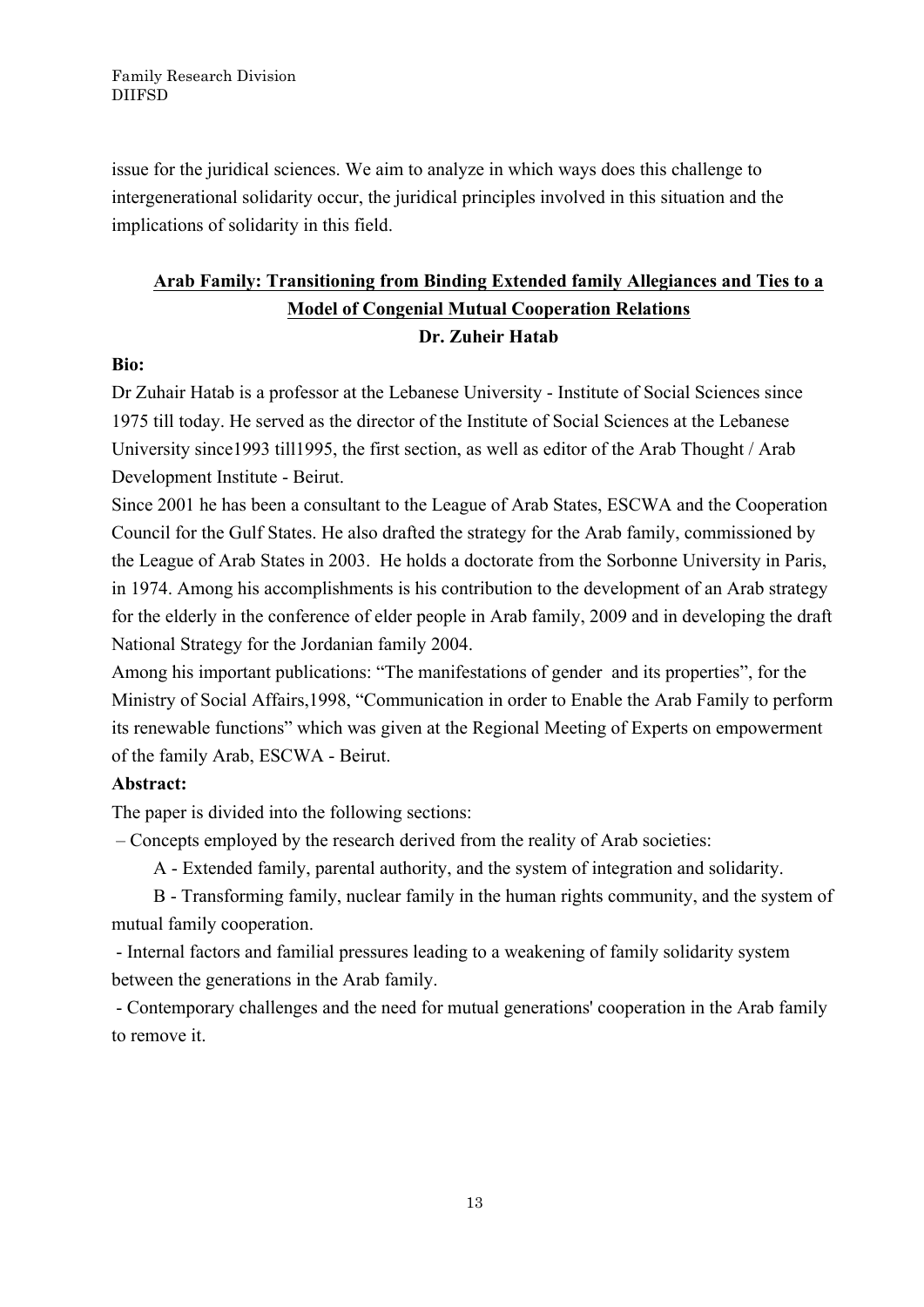issue for the juridical sciences. We aim to analyze in which ways does this challenge to intergenerational solidarity occur, the juridical principles involved in this situation and the implications of solidarity in this field.

### **Arab Family: Transitioning from Binding Extended family Allegiances and Ties to a Model of Congenial Mutual Cooperation Relations Dr. Zuheir Hatab**

#### **Bio:**

Dr Zuhair Hatab is a professor at the Lebanese University - Institute of Social Sciences since 1975 till today. He served as the director of the Institute of Social Sciences at the Lebanese University since1993 till1995, the first section, as well as editor of the Arab Thought / Arab Development Institute - Beirut.

Since 2001 he has been a consultant to the League of Arab States, ESCWA and the Cooperation Council for the Gulf States. He also drafted the strategy for the Arab family, commissioned by the League of Arab States in 2003. He holds a doctorate from the Sorbonne University in Paris, in 1974. Among his accomplishments is his contribution to the development of an Arab strategy for the elderly in the conference of elder people in Arab family, 2009 and in developing the draft National Strategy for the Jordanian family 2004.

Among his important publications: "The manifestations of gender and its properties", for the Ministry of Social Affairs,1998, "Communication in order to Enable the Arab Family to perform its renewable functions" which was given at the Regional Meeting of Experts on empowerment of the family Arab, ESCWA - Beirut.

### **Abstract:**

The paper is divided into the following sections:

– Concepts employed by the research derived from the reality of Arab societies:

A - Extended family, parental authority, and the system of integration and solidarity.

 B - Transforming family, nuclear family in the human rights community, and the system of mutual family cooperation.

- Internal factors and familial pressures leading to a weakening of family solidarity system between the generations in the Arab family.

- Contemporary challenges and the need for mutual generations' cooperation in the Arab family to remove it.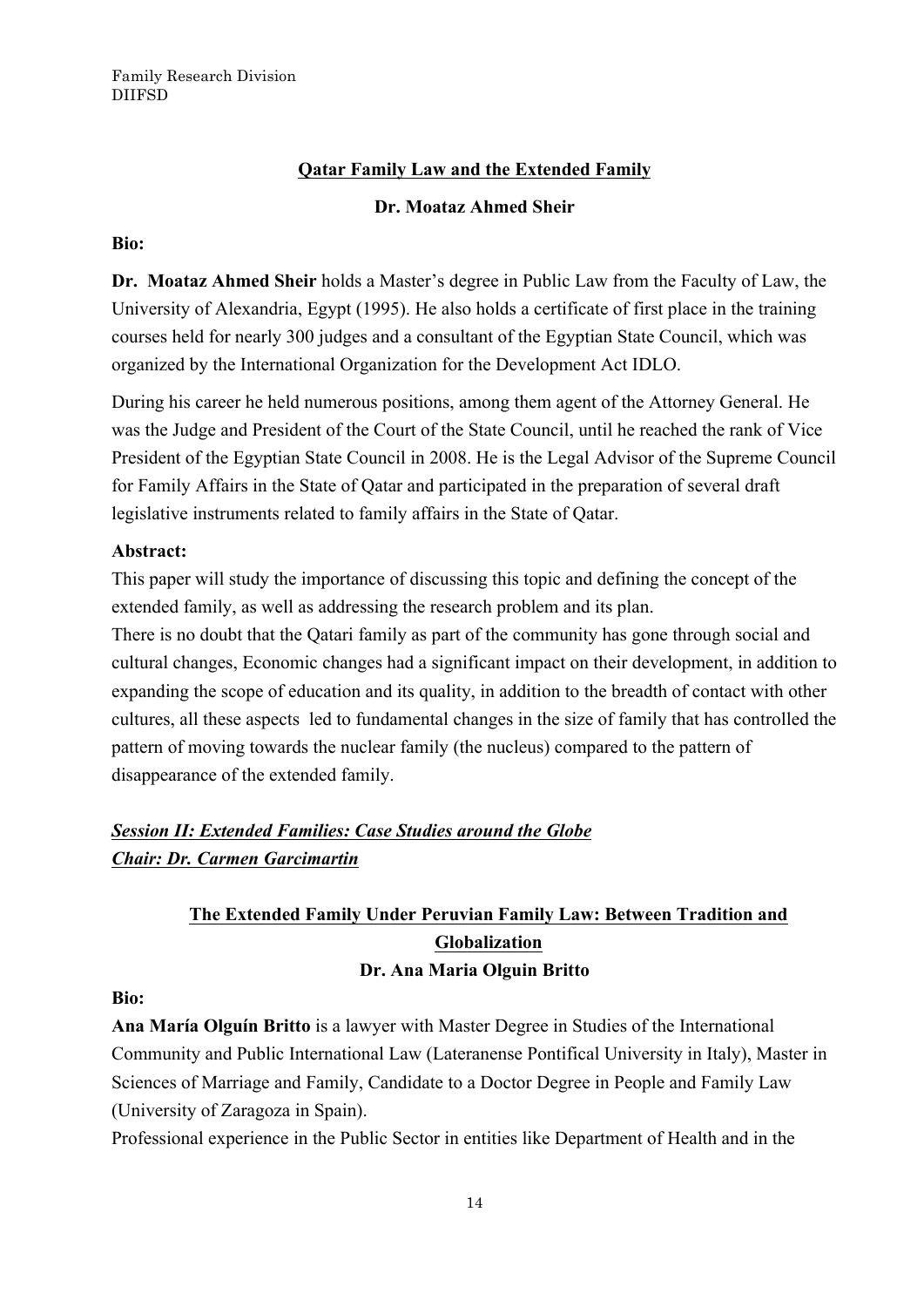### **Qatar Family Law and the Extended Family**

#### **Dr. Moataz Ahmed Sheir**

#### **Bio:**

**Dr. Moataz Ahmed Sheir** holds a Master's degree in Public Law from the Faculty of Law, the University of Alexandria, Egypt (1995). He also holds a certificate of first place in the training courses held for nearly 300 judges and a consultant of the Egyptian State Council, which was organized by the International Organization for the Development Act IDLO.

During his career he held numerous positions, among them agent of the Attorney General. He was the Judge and President of the Court of the State Council, until he reached the rank of Vice President of the Egyptian State Council in 2008. He is the Legal Advisor of the Supreme Council for Family Affairs in the State of Qatar and participated in the preparation of several draft legislative instruments related to family affairs in the State of Qatar.

#### **Abstract:**

This paper will study the importance of discussing this topic and defining the concept of the extended family, as well as addressing the research problem and its plan.

There is no doubt that the Qatari family as part of the community has gone through social and cultural changes, Economic changes had a significant impact on their development, in addition to expanding the scope of education and its quality, in addition to the breadth of contact with other cultures, all these aspects led to fundamental changes in the size of family that has controlled the pattern of moving towards the nuclear family (the nucleus) compared to the pattern of disappearance of the extended family.

### *Session II: Extended Families: Case Studies around the Globe Chair: Dr. Carmen Garcimartin*

### **The Extended Family Under Peruvian Family Law: Between Tradition and Globalization Dr. Ana Maria Olguin Britto**

#### **Bio:**

**Ana María Olguín Britto** is a lawyer with Master Degree in Studies of the International Community and Public International Law (Lateranense Pontifical University in Italy), Master in Sciences of Marriage and Family, Candidate to a Doctor Degree in People and Family Law (University of Zaragoza in Spain).

Professional experience in the Public Sector in entities like Department of Health and in the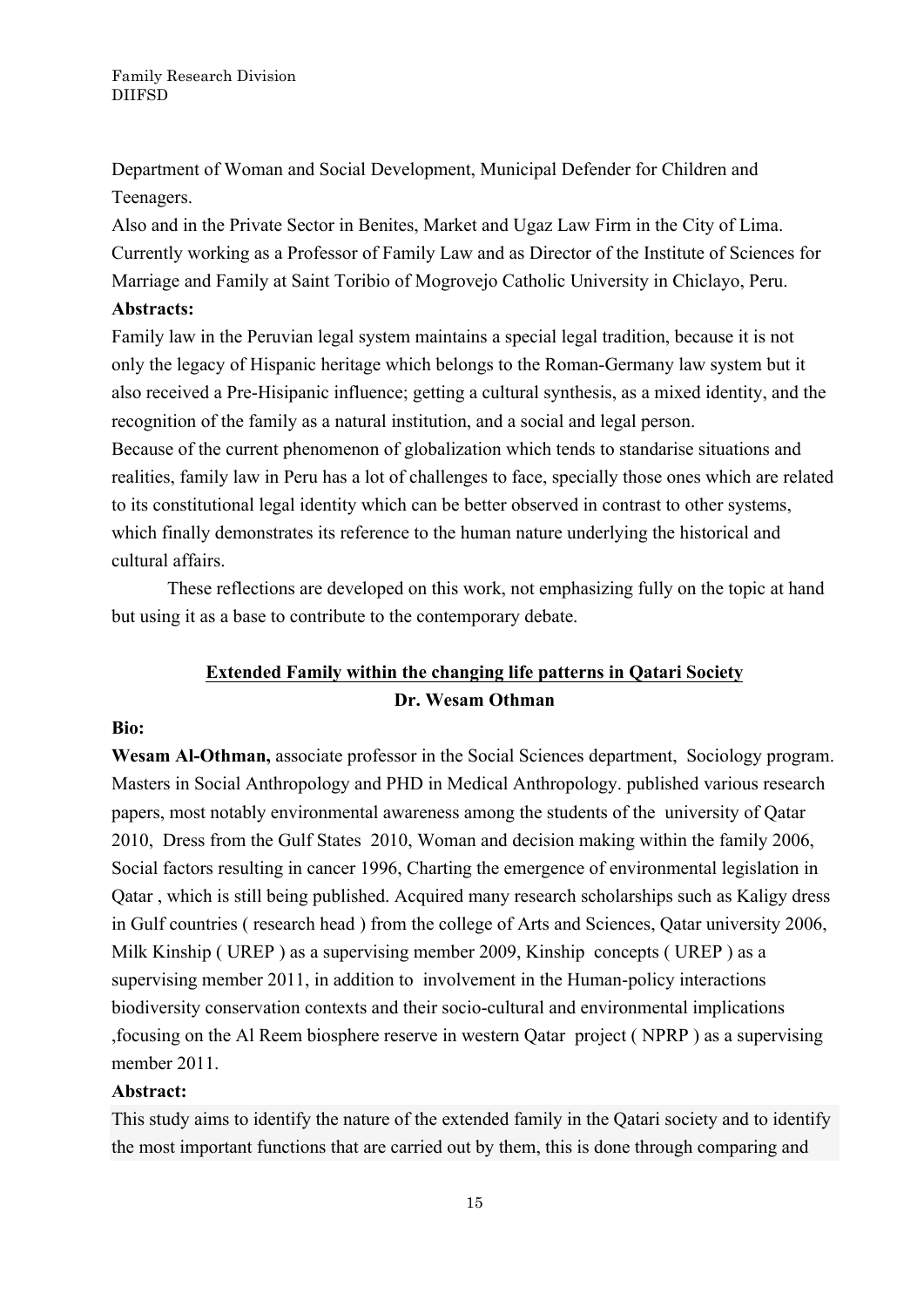Department of Woman and Social Development, Municipal Defender for Children and Teenagers.

Also and in the Private Sector in Benites, Market and Ugaz Law Firm in the City of Lima. Currently working as a Professor of Family Law and as Director of the Institute of Sciences for Marriage and Family at Saint Toribio of Mogrovejo Catholic University in Chiclayo, Peru. **Abstracts:**

Family law in the Peruvian legal system maintains a special legal tradition, because it is not only the legacy of Hispanic heritage which belongs to the Roman-Germany law system but it also received a Pre-Hisipanic influence; getting a cultural synthesis, as a mixed identity, and the recognition of the family as a natural institution, and a social and legal person.

Because of the current phenomenon of globalization which tends to standarise situations and realities, family law in Peru has a lot of challenges to face, specially those ones which are related to its constitutional legal identity which can be better observed in contrast to other systems, which finally demonstrates its reference to the human nature underlying the historical and cultural affairs.

These reflections are developed on this work, not emphasizing fully on the topic at hand but using it as a base to contribute to the contemporary debate.

### **Extended Family within the changing life patterns in Qatari Society Dr. Wesam Othman**

#### **Bio:**

**Wesam Al-Othman,** associate professor in the Social Sciences department, Sociology program. Masters in Social Anthropology and PHD in Medical Anthropology. published various research papers, most notably environmental awareness among the students of the university of Qatar 2010, Dress from the Gulf States 2010, Woman and decision making within the family 2006, Social factors resulting in cancer 1996, Charting the emergence of environmental legislation in Qatar , which is still being published. Acquired many research scholarships such as Kaligy dress in Gulf countries ( research head ) from the college of Arts and Sciences, Qatar university 2006, Milk Kinship ( UREP ) as a supervising member 2009, Kinship concepts ( UREP ) as a supervising member 2011, in addition to involvement in the Human-policy interactions biodiversity conservation contexts and their socio-cultural and environmental implications ,focusing on the Al Reem biosphere reserve in western Qatar project ( NPRP ) as a supervising member 2011.

#### **Abstract:**

This study aims to identify the nature of the extended family in the Qatari society and to identify the most important functions that are carried out by them, this is done through comparing and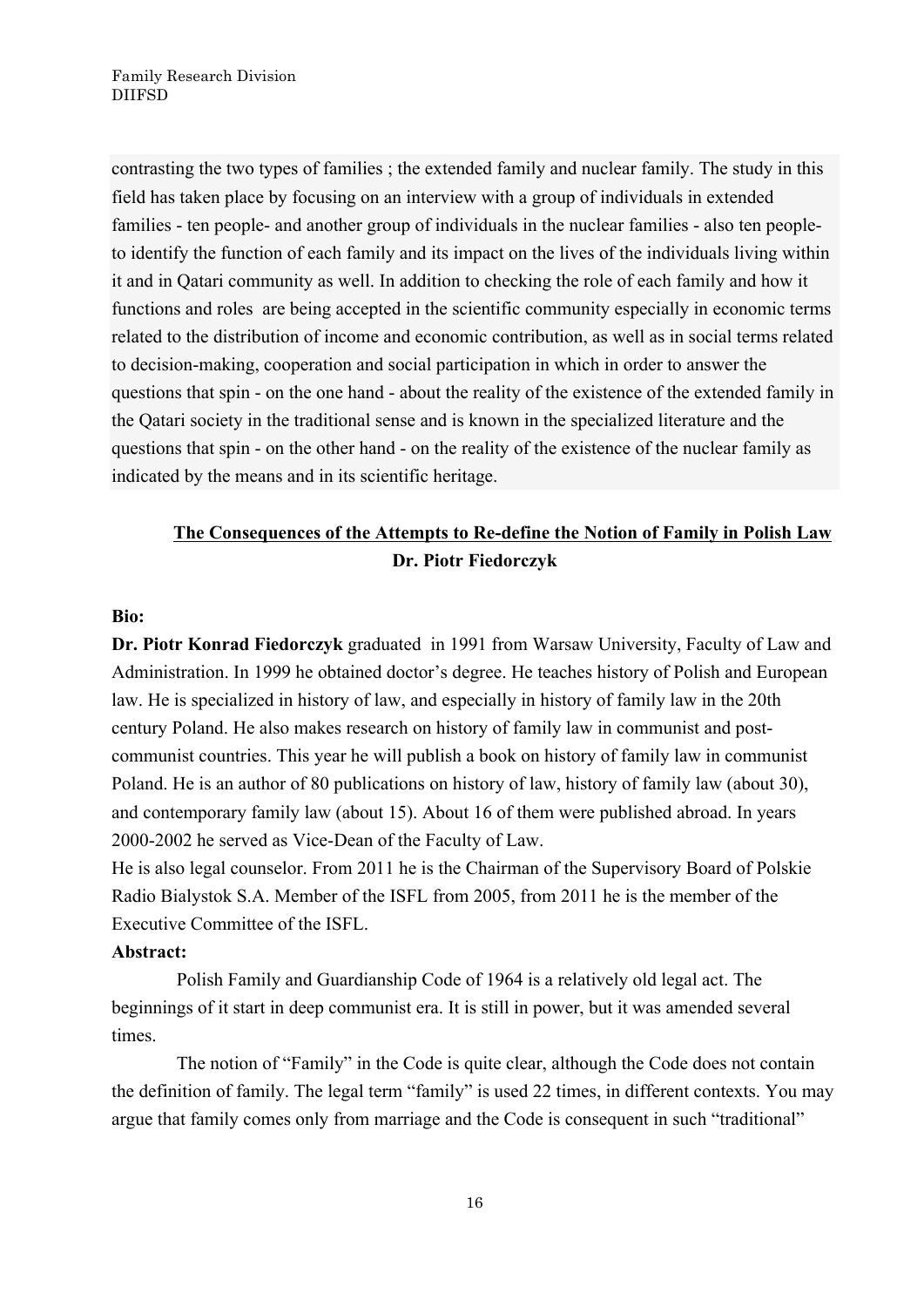contrasting the two types of families ; the extended family and nuclear family. The study in this field has taken place by focusing on an interview with a group of individuals in extended families - ten people- and another group of individuals in the nuclear families - also ten peopleto identify the function of each family and its impact on the lives of the individuals living within it and in Qatari community as well. In addition to checking the role of each family and how it functions and roles are being accepted in the scientific community especially in economic terms related to the distribution of income and economic contribution, as well as in social terms related to decision-making, cooperation and social participation in which in order to answer the questions that spin - on the one hand - about the reality of the existence of the extended family in the Qatari society in the traditional sense and is known in the specialized literature and the questions that spin - on the other hand - on the reality of the existence of the nuclear family as indicated by the means and in its scientific heritage.

### **The Consequences of the Attempts to Re-define the Notion of Family in Polish Law Dr. Piotr Fiedorczyk**

#### **Bio:**

**Dr. Piotr Konrad Fiedorczyk** graduated in 1991 from Warsaw University, Faculty of Law and Administration. In 1999 he obtained doctor's degree. He teaches history of Polish and European law. He is specialized in history of law, and especially in history of family law in the 20th century Poland. He also makes research on history of family law in communist and postcommunist countries. This year he will publish a book on history of family law in communist Poland. He is an author of 80 publications on history of law, history of family law (about 30), and contemporary family law (about 15). About 16 of them were published abroad. In years 2000-2002 he served as Vice-Dean of the Faculty of Law.

He is also legal counselor. From 2011 he is the Chairman of the Supervisory Board of Polskie Radio Bialystok S.A. Member of the ISFL from 2005, from 2011 he is the member of the Executive Committee of the ISFL.

#### **Abstract:**

Polish Family and Guardianship Code of 1964 is a relatively old legal act. The beginnings of it start in deep communist era. It is still in power, but it was amended several times.

The notion of "Family" in the Code is quite clear, although the Code does not contain the definition of family. The legal term "family" is used 22 times, in different contexts. You may argue that family comes only from marriage and the Code is consequent in such "traditional"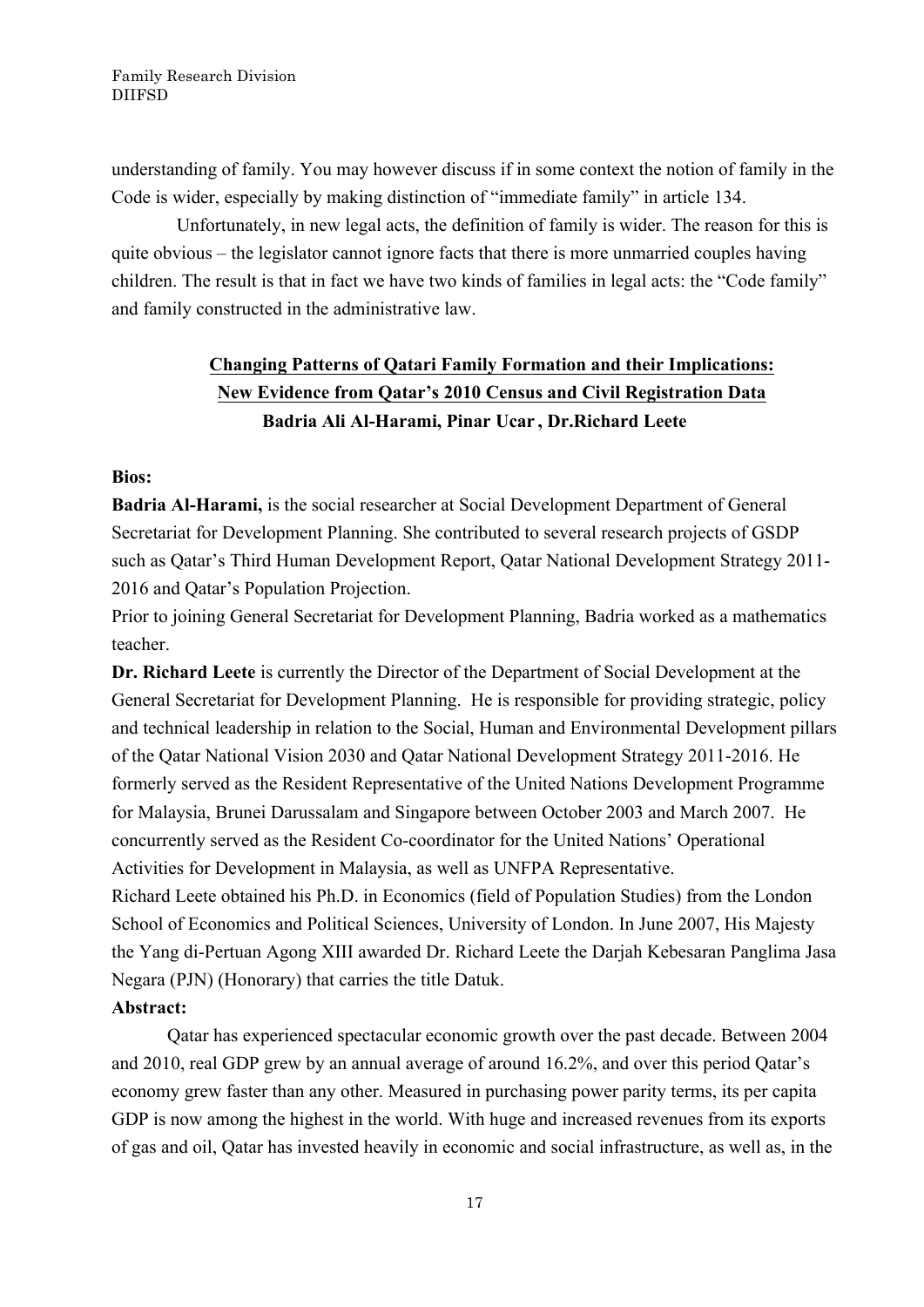understanding of family. You may however discuss if in some context the notion of family in the Code is wider, especially by making distinction of "immediate family" in article 134.

Unfortunately, in new legal acts, the definition of family is wider. The reason for this is quite obvious – the legislator cannot ignore facts that there is more unmarried couples having children. The result is that in fact we have two kinds of families in legal acts: the "Code family" and family constructed in the administrative law.

### **Changing Patterns of Qatari Family Formation and their Implications: New Evidence from Qatar's 2010 Census and Civil Registration Data Badria Ali Al-Harami, Pinar Ucar , Dr.Richard Leete**

#### **Bios:**

**Badria Al-Harami,** is the social researcher at Social Development Department of General Secretariat for Development Planning. She contributed to several research projects of GSDP such as Qatar's Third Human Development Report, Qatar National Development Strategy 2011- 2016 and Qatar's Population Projection.

Prior to joining General Secretariat for Development Planning, Badria worked as a mathematics teacher.

**Dr. Richard Leete** is currently the Director of the Department of Social Development at the General Secretariat for Development Planning. He is responsible for providing strategic, policy and technical leadership in relation to the Social, Human and Environmental Development pillars of the Qatar National Vision 2030 and Qatar National Development Strategy 2011-2016. He formerly served as the Resident Representative of the United Nations Development Programme for Malaysia, Brunei Darussalam and Singapore between October 2003 and March 2007. He concurrently served as the Resident Co-coordinator for the United Nations' Operational Activities for Development in Malaysia, as well as UNFPA Representative. Richard Leete obtained his Ph.D. in Economics (field of Population Studies) from the London School of Economics and Political Sciences, University of London. In June 2007, His Majesty the Yang di-Pertuan Agong XIII awarded Dr. Richard Leete the Darjah Kebesaran Panglima Jasa Negara (PJN) (Honorary) that carries the title Datuk.

#### **Abstract:**

Qatar has experienced spectacular economic growth over the past decade. Between 2004 and 2010, real GDP grew by an annual average of around 16.2%, and over this period Qatar's economy grew faster than any other. Measured in purchasing power parity terms, its per capita GDP is now among the highest in the world. With huge and increased revenues from its exports of gas and oil, Qatar has invested heavily in economic and social infrastructure, as well as, in the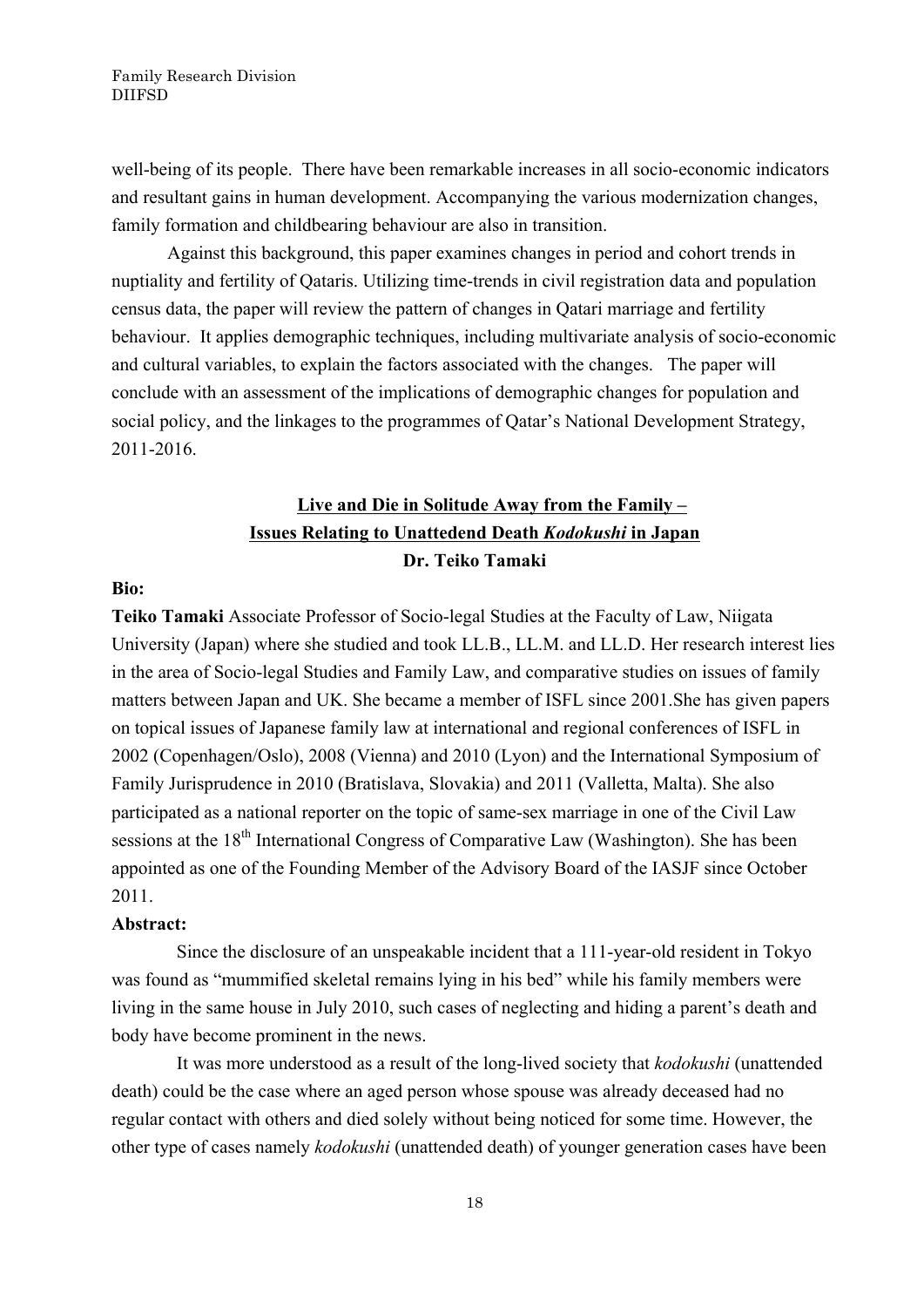well-being of its people. There have been remarkable increases in all socio-economic indicators and resultant gains in human development. Accompanying the various modernization changes, family formation and childbearing behaviour are also in transition.

Against this background, this paper examines changes in period and cohort trends in nuptiality and fertility of Qataris. Utilizing time-trends in civil registration data and population census data, the paper will review the pattern of changes in Qatari marriage and fertility behaviour. It applies demographic techniques, including multivariate analysis of socio-economic and cultural variables, to explain the factors associated with the changes. The paper will conclude with an assessment of the implications of demographic changes for population and social policy, and the linkages to the programmes of Qatar's National Development Strategy, 2011-2016.

### **Live and Die in Solitude Away from the Family – Issues Relating to Unattedend Death** *Kodokushi* **in Japan Dr. Teiko Tamaki**

#### **Bio:**

**Teiko Tamaki** Associate Professor of Socio-legal Studies at the Faculty of Law, Niigata University (Japan) where she studied and took LL.B., LL.M. and LL.D. Her research interest lies in the area of Socio-legal Studies and Family Law, and comparative studies on issues of family matters between Japan and UK. She became a member of ISFL since 2001.She has given papers on topical issues of Japanese family law at international and regional conferences of ISFL in 2002 (Copenhagen/Oslo), 2008 (Vienna) and 2010 (Lyon) and the International Symposium of Family Jurisprudence in 2010 (Bratislava, Slovakia) and 2011 (Valletta, Malta). She also participated as a national reporter on the topic of same-sex marriage in one of the Civil Law sessions at the 18<sup>th</sup> International Congress of Comparative Law (Washington). She has been appointed as one of the Founding Member of the Advisory Board of the IASJF since October 2011.

#### **Abstract:**

Since the disclosure of an unspeakable incident that a 111-year-old resident in Tokyo was found as "mummified skeletal remains lying in his bed" while his family members were living in the same house in July 2010, such cases of neglecting and hiding a parent's death and body have become prominent in the news.

It was more understood as a result of the long-lived society that *kodokushi* (unattended death) could be the case where an aged person whose spouse was already deceased had no regular contact with others and died solely without being noticed for some time. However, the other type of cases namely *kodokushi* (unattended death) of younger generation cases have been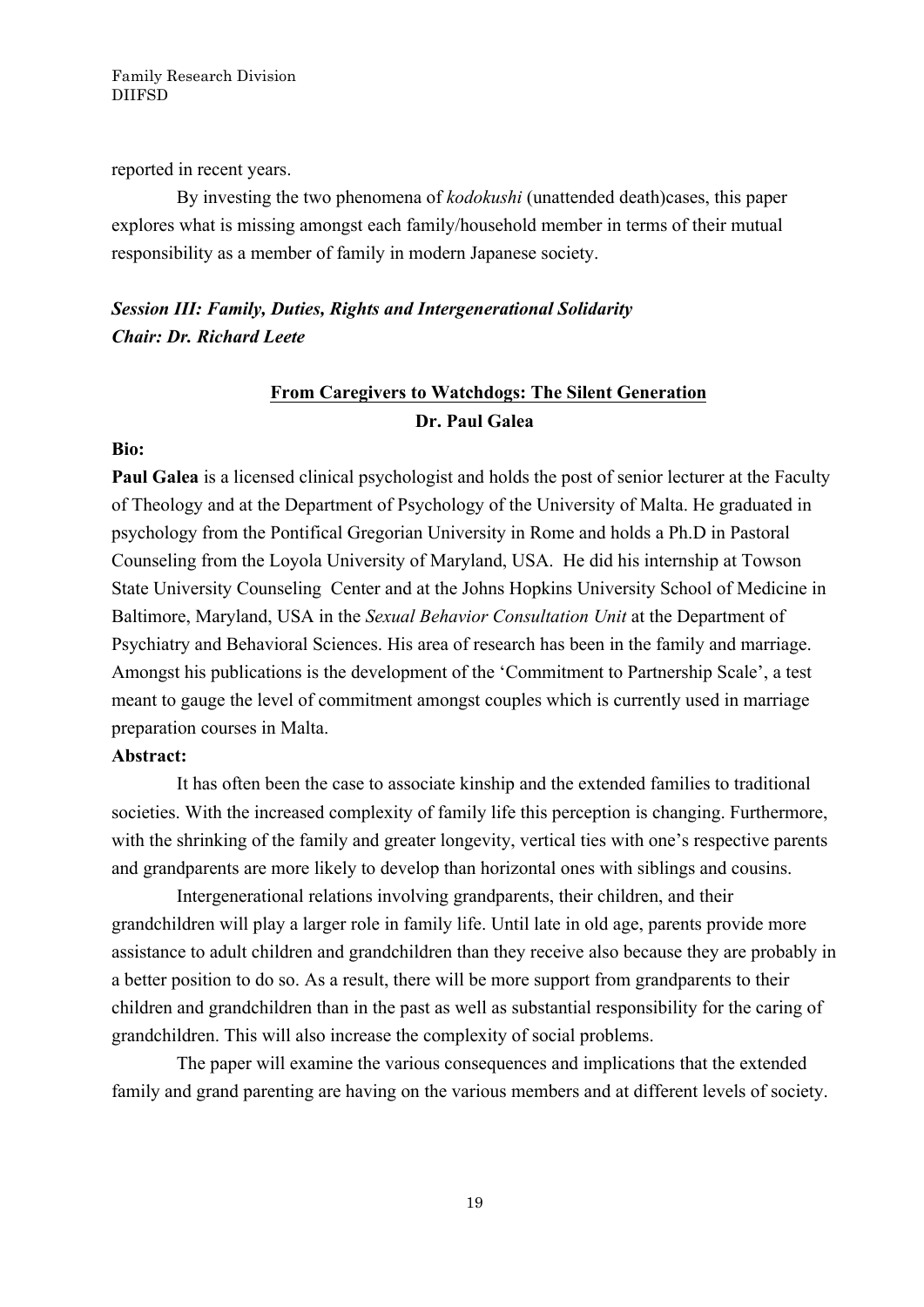reported in recent years.

By investing the two phenomena of *kodokushi* (unattended death)cases, this paper explores what is missing amongst each family/household member in terms of their mutual responsibility as a member of family in modern Japanese society.

### *Session III: Family, Duties, Rights and Intergenerational Solidarity Chair: Dr. Richard Leete*

### **From Caregivers to Watchdogs: The Silent Generation Dr. Paul Galea**

#### **Bio:**

**Paul Galea** is a licensed clinical psychologist and holds the post of senior lecturer at the Faculty of Theology and at the Department of Psychology of the University of Malta. He graduated in psychology from the Pontifical Gregorian University in Rome and holds a Ph.D in Pastoral Counseling from the Loyola University of Maryland, USA. He did his internship at Towson State University Counseling Center and at the Johns Hopkins University School of Medicine in Baltimore, Maryland, USA in the *Sexual Behavior Consultation Unit* at the Department of Psychiatry and Behavioral Sciences. His area of research has been in the family and marriage. Amongst his publications is the development of the 'Commitment to Partnership Scale', a test meant to gauge the level of commitment amongst couples which is currently used in marriage preparation courses in Malta.

#### **Abstract:**

It has often been the case to associate kinship and the extended families to traditional societies. With the increased complexity of family life this perception is changing. Furthermore, with the shrinking of the family and greater longevity, vertical ties with one's respective parents and grandparents are more likely to develop than horizontal ones with siblings and cousins.

Intergenerational relations involving grandparents, their children, and their grandchildren will play a larger role in family life. Until late in old age, parents provide more assistance to adult children and grandchildren than they receive also because they are probably in a better position to do so. As a result, there will be more support from grandparents to their children and grandchildren than in the past as well as substantial responsibility for the caring of grandchildren. This will also increase the complexity of social problems.

The paper will examine the various consequences and implications that the extended family and grand parenting are having on the various members and at different levels of society.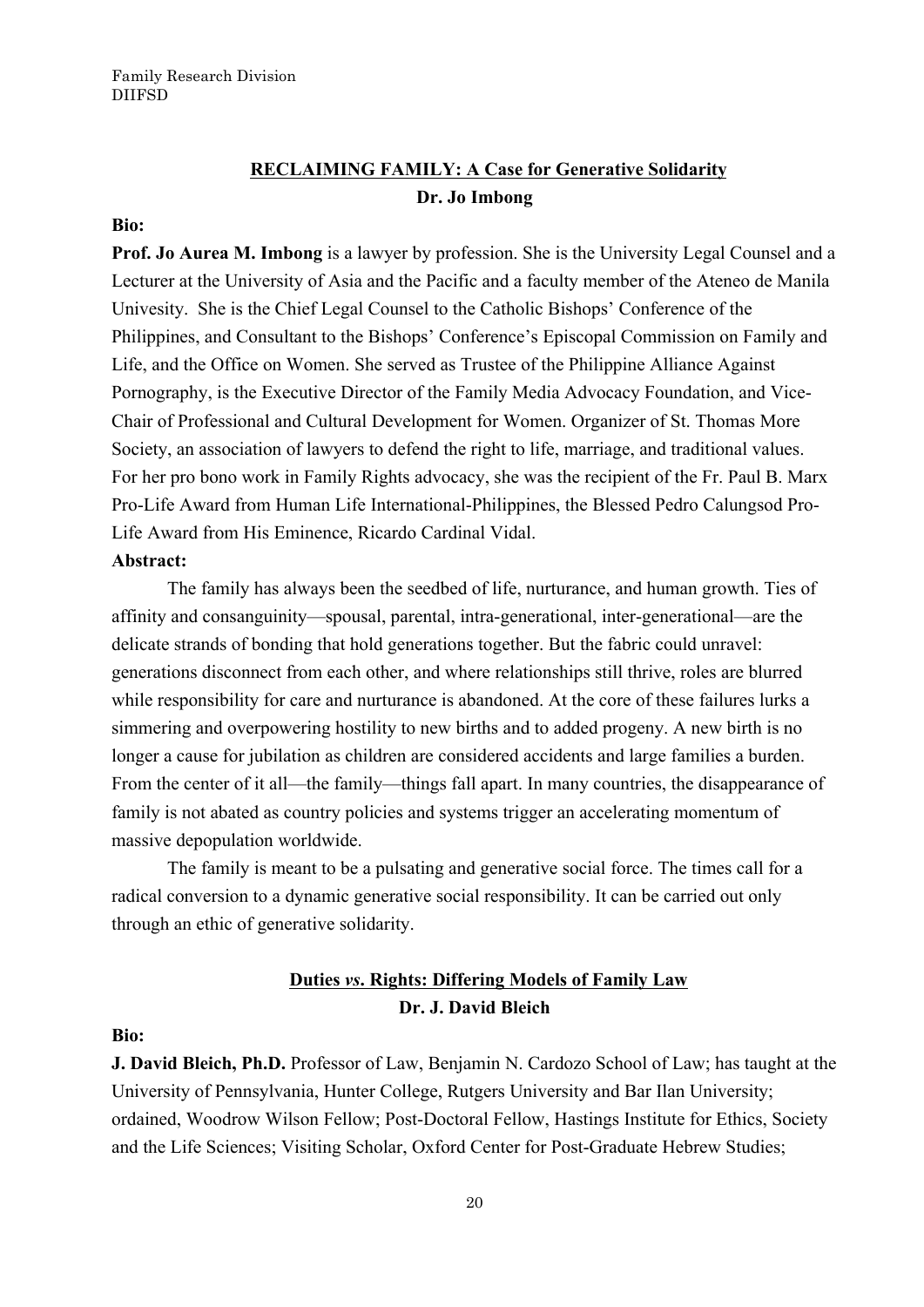### **RECLAIMING FAMILY: A Case for Generative Solidarity Dr. Jo Imbong**

#### **Bio:**

**Prof. Jo Aurea M. Imbong** is a lawyer by profession. She is the University Legal Counsel and a Lecturer at the University of Asia and the Pacific and a faculty member of the Ateneo de Manila Univesity. She is the Chief Legal Counsel to the Catholic Bishops' Conference of the Philippines, and Consultant to the Bishops' Conference's Episcopal Commission on Family and Life, and the Office on Women. She served as Trustee of the Philippine Alliance Against Pornography, is the Executive Director of the Family Media Advocacy Foundation, and Vice-Chair of Professional and Cultural Development for Women. Organizer of St. Thomas More Society, an association of lawyers to defend the right to life, marriage, and traditional values. For her pro bono work in Family Rights advocacy, she was the recipient of the Fr. Paul B. Marx Pro-Life Award from Human Life International-Philippines, the Blessed Pedro Calungsod Pro-Life Award from His Eminence, Ricardo Cardinal Vidal.

#### **Abstract:**

The family has always been the seedbed of life, nurturance, and human growth. Ties of affinity and consanguinity—spousal, parental, intra-generational, inter-generational—are the delicate strands of bonding that hold generations together. But the fabric could unravel: generations disconnect from each other, and where relationships still thrive, roles are blurred while responsibility for care and nurturance is abandoned. At the core of these failures lurks a simmering and overpowering hostility to new births and to added progeny. A new birth is no longer a cause for jubilation as children are considered accidents and large families a burden. From the center of it all—the family—things fall apart. In many countries, the disappearance of family is not abated as country policies and systems trigger an accelerating momentum of massive depopulation worldwide.

The family is meant to be a pulsating and generative social force. The times call for a radical conversion to a dynamic generative social responsibility. It can be carried out only through an ethic of generative solidarity.

### **Duties** *vs***. Rights: Differing Models of Family Law Dr. J. David Bleich**

#### **Bio:**

**J. David Bleich, Ph.D.** Professor of Law, Benjamin N. Cardozo School of Law; has taught at the University of Pennsylvania, Hunter College, Rutgers University and Bar Ilan University; ordained, Woodrow Wilson Fellow; Post-Doctoral Fellow, Hastings Institute for Ethics, Society and the Life Sciences; Visiting Scholar, Oxford Center for Post-Graduate Hebrew Studies;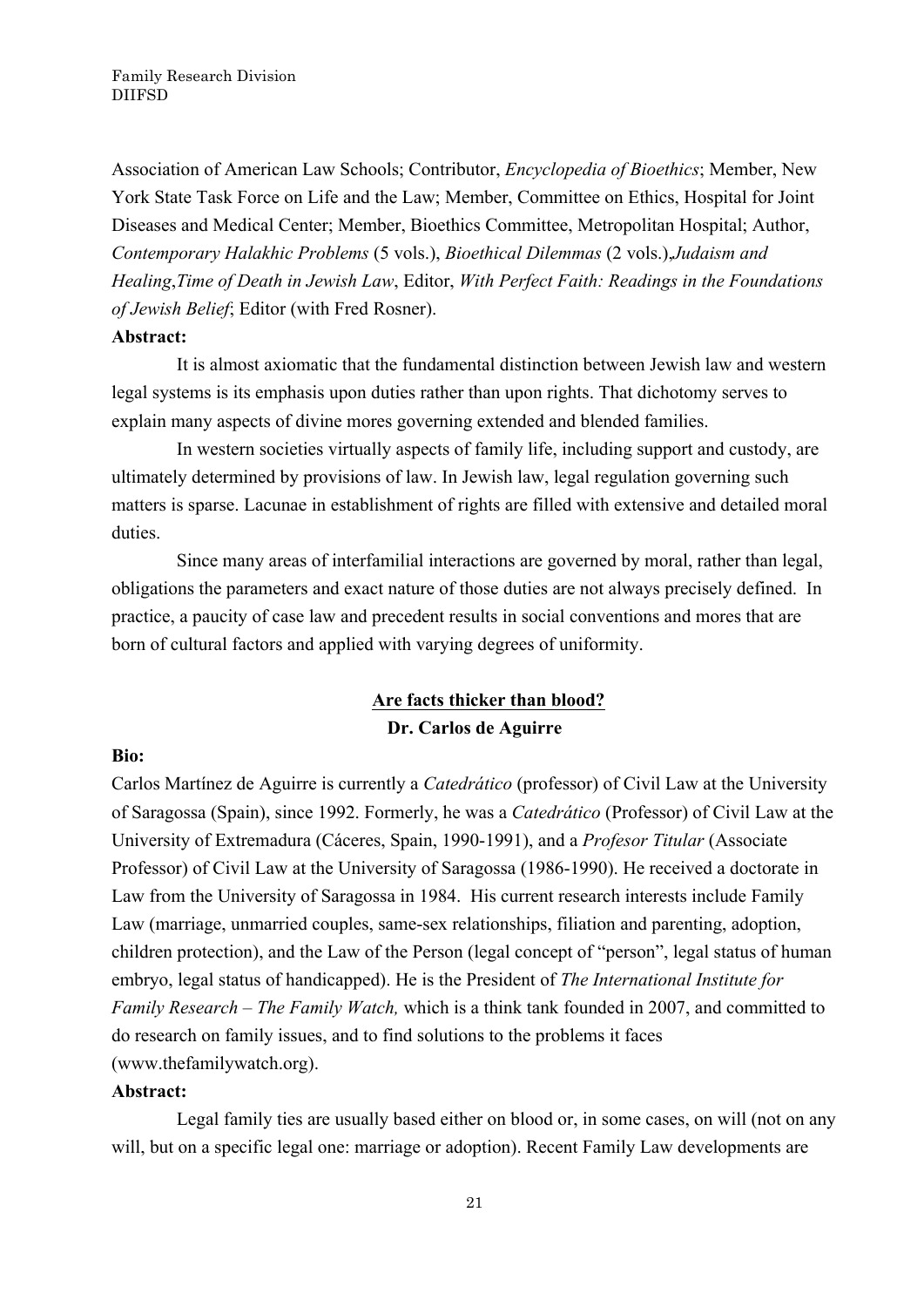Association of American Law Schools; Contributor, *Encyclopedia of Bioethics*; Member, New York State Task Force on Life and the Law; Member, Committee on Ethics, Hospital for Joint Diseases and Medical Center; Member, Bioethics Committee, Metropolitan Hospital; Author, *Contemporary Halakhic Problems* (5 vols.), *Bioethical Dilemmas* (2 vols.),*Judaism and Healing*,*Time of Death in Jewish Law*, Editor, *With Perfect Faith: Readings in the Foundations of Jewish Belief*; Editor (with Fred Rosner).

#### **Abstract:**

It is almost axiomatic that the fundamental distinction between Jewish law and western legal systems is its emphasis upon duties rather than upon rights. That dichotomy serves to explain many aspects of divine mores governing extended and blended families.

In western societies virtually aspects of family life, including support and custody, are ultimately determined by provisions of law. In Jewish law, legal regulation governing such matters is sparse. Lacunae in establishment of rights are filled with extensive and detailed moral duties.

Since many areas of interfamilial interactions are governed by moral, rather than legal, obligations the parameters and exact nature of those duties are not always precisely defined. In practice, a paucity of case law and precedent results in social conventions and mores that are born of cultural factors and applied with varying degrees of uniformity.

### **Are facts thicker than blood? Dr. Carlos de Aguirre**

### **Bio:**

Carlos Martínez de Aguirre is currently a *Catedrático* (professor) of Civil Law at the University of Saragossa (Spain), since 1992. Formerly, he was a *Catedrático* (Professor) of Civil Law at the University of Extremadura (Cáceres, Spain, 1990-1991), and a *Profesor Titular* (Associate Professor) of Civil Law at the University of Saragossa (1986-1990). He received a doctorate in Law from the University of Saragossa in 1984. His current research interests include Family Law (marriage, unmarried couples, same-sex relationships, filiation and parenting, adoption, children protection), and the Law of the Person (legal concept of "person", legal status of human embryo, legal status of handicapped). He is the President of *The International Institute for Family Research – The Family Watch,* which is a think tank founded in 2007, and committed to do research on family issues, and to find solutions to the problems it faces (www.thefamilywatch.org).

#### **Abstract:**

Legal family ties are usually based either on blood or, in some cases, on will (not on any will, but on a specific legal one: marriage or adoption). Recent Family Law developments are